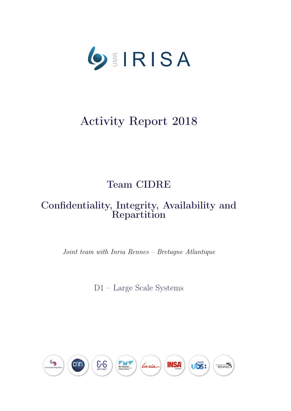

# Activity Report 2018

# Team CIDRE

# Confidentiality, Integrity, Availability and Repartition

Joint team with Inria Rennes – Bretagne Atlantique

D1 – Large Scale Systems

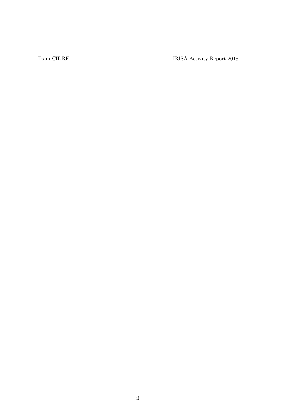Team CIDRE IRISA Activity Report 2018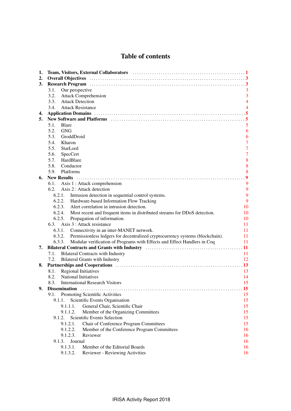## Table of contents

| 1. | Team, Visitors, External Collaborators (and the contract of the contract of the contract of the contract of the contract of the contract of the contract of the contract of the contract of the contract of the contract of th |                                |
|----|--------------------------------------------------------------------------------------------------------------------------------------------------------------------------------------------------------------------------------|--------------------------------|
| 2. |                                                                                                                                                                                                                                |                                |
| 3. |                                                                                                                                                                                                                                |                                |
|    | Our perspective<br>3.1.                                                                                                                                                                                                        | 3                              |
|    | <b>Attack Comprehension</b><br>3.2.                                                                                                                                                                                            | 3                              |
|    | <b>Attack Detection</b><br>3.3.                                                                                                                                                                                                | 4                              |
|    | 3.4.<br><b>Attack Resistance</b>                                                                                                                                                                                               | 4                              |
| 4. |                                                                                                                                                                                                                                |                                |
| 5. | New Software and Platforms (and the content of the state of the state of the state of the state of the state of the state of the state of the state of the state of the state of the state of the state of the state of the st |                                |
|    | 5.1.<br><b>Blare</b>                                                                                                                                                                                                           | 5                              |
|    | 5.2.<br><b>GNG</b>                                                                                                                                                                                                             | 6                              |
|    | GroddDroid<br>5.3.                                                                                                                                                                                                             | 6                              |
|    | 5.4.<br>Kharon                                                                                                                                                                                                                 | 7                              |
|    | 5.5.<br>StarLord                                                                                                                                                                                                               | $\overline{7}$                 |
|    | 5.6.<br>SpecCert                                                                                                                                                                                                               | $\overline{7}$                 |
|    | 5.7.<br>HardBlare                                                                                                                                                                                                              | 8                              |
|    | 5.8.<br>Conductor                                                                                                                                                                                                              | 8                              |
|    | 5.9.<br>Platforms                                                                                                                                                                                                              | 8                              |
| 6. |                                                                                                                                                                                                                                | 9                              |
|    | Axis 1 : Attack comprehension<br>6.1.                                                                                                                                                                                          | 9                              |
|    | 6.2.<br>Axis 2 : Attack detection                                                                                                                                                                                              | 9                              |
|    | 6.2.1.<br>Intrusion detection in sequential control systems.                                                                                                                                                                   | 9                              |
|    | 6.2.2.<br>Hardware-based Information Flow Tracking                                                                                                                                                                             | 9                              |
|    | Alert correlation in intrusion detection.<br>6.2.3.                                                                                                                                                                            | 10                             |
|    | 6.2.4.<br>Most recent and frequent items in distributed streams for DDoS detection.                                                                                                                                            | 10                             |
|    | 6.2.5.<br>Propagation of information.                                                                                                                                                                                          | 10                             |
|    | Axis 3 : Attack resistance<br>6.3.                                                                                                                                                                                             | 11                             |
|    | 6.3.1.<br>Connectivity in an inter-MANET network.                                                                                                                                                                              | 11                             |
|    | Permissionless ledgers for decentralized cryptocurrency systems (blockchain).<br>6.3.2.                                                                                                                                        | 11                             |
|    | Modular verification of Programs with Effects and Effect Handlers in Coq<br>6.3.3.                                                                                                                                             | 11                             |
| 7. | Bilateral Contracts and Grants with Industry manufactured controlled and Grants with Industry manufactured and S                                                                                                               | 11                             |
|    | <b>Bilateral Contracts with Industry</b><br>7.1.                                                                                                                                                                               | 11                             |
|    | 7.2.<br><b>Bilateral Grants with Industry</b>                                                                                                                                                                                  | 12                             |
| 8. |                                                                                                                                                                                                                                | 13                             |
|    | 8.1.<br><b>Regional Initiatives</b>                                                                                                                                                                                            | 13                             |
|    | 8.2.<br><b>National Initiatives</b>                                                                                                                                                                                            | 14                             |
|    | 8.3.<br><b>International Research Visitors</b>                                                                                                                                                                                 | 15                             |
| 9. | Dissemination                                                                                                                                                                                                                  | $\overline{\phantom{a}}$<br>15 |
|    | Promoting Scientific Activities<br>9.1.                                                                                                                                                                                        | 15                             |
|    | 9.1.1.<br>Scientific Events Organisation                                                                                                                                                                                       | 15                             |
|    | General Chair, Scientific Chair<br>9.1.1.1.                                                                                                                                                                                    | 15                             |
|    | 9.1.1.2.<br>Member of the Organizing Committees                                                                                                                                                                                | 15                             |
|    | Scientific Events Selection<br>9.1.2.                                                                                                                                                                                          | 15                             |
|    | 9.1.2.1.<br>Chair of Conference Program Committees                                                                                                                                                                             | 15                             |
|    | Member of the Conference Program Committees<br>9.1.2.2.                                                                                                                                                                        | 16                             |
|    | 9.1.2.3.<br>Reviewer                                                                                                                                                                                                           | 16                             |
|    | Journal<br>9.1.3.                                                                                                                                                                                                              | 16                             |
|    | 9.1.3.1.<br>Member of the Editorial Boards                                                                                                                                                                                     | 16                             |
|    | 9.1.3.2.<br>Reviewer - Reviewing Activities                                                                                                                                                                                    | 16                             |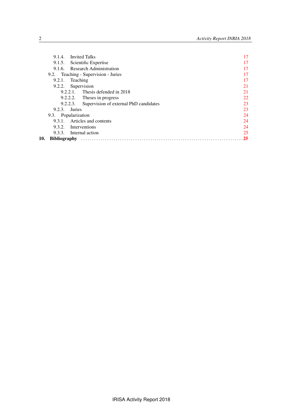| <b>Invited Talks</b><br>9.1.4.                     | 17 |
|----------------------------------------------------|----|
| 9.1.5. Scientific Expertise                        | 17 |
| 9.1.6. Research Administration                     | 17 |
| 9.2. Teaching - Supervision - Juries               | 17 |
| Teaching<br>9.2.1.                                 | 17 |
| 9.2.2.<br>Supervision                              | 21 |
| $9.2.2.1$ .<br>Thesis defended in 2018             | 21 |
| 9.2.2.2. These in progress                         | 22 |
| Supervision of external PhD candidates<br>9.2.2.3. | 23 |
| Juries<br>9.2.3.                                   | 23 |
| 9.3. Popularization                                | 24 |
| 9.3.1. Articles and contents                       | 24 |
| 9.3.2. Interventions                               | 24 |
| 9.3.3. Internal action                             | 25 |
| 10.                                                | 25 |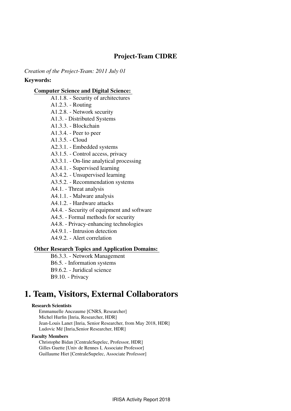## Project-Team CIDRE

*Creation of the Project-Team: 2011 July 01*

## Keywords:

## Computer Science and Digital Science:

- A1.1.8. Security of architectures
- A1.2.3. Routing
- A1.2.8. Network security
- A1.3. Distributed Systems
- A1.3.3. Blockchain
- A1.3.4. Peer to peer
- A1.3.5. Cloud
- A2.3.1. Embedded systems
- A3.1.5. Control access, privacy
- A3.3.1. On-line analytical processing
- A3.4.1. Supervised learning
- A3.4.2. Unsupervised learning
- A3.5.2. Recommendation systems
- A4.1. Threat analysis
- A4.1.1. Malware analysis
- A4.1.2. Hardware attacks
- A4.4. Security of equipment and software
- A4.5. Formal methods for security
- A4.8. Privacy-enhancing technologies
- A4.9.1. Intrusion detection
- A4.9.2. Alert correlation

#### Other Research Topics and Application Domains:

B6.3.3. - Network Management B6.5. - Information systems

- B9.6.2. Juridical science
- B9.10. Privacy

## 1. Team, Visitors, External Collaborators

#### Research Scientists

Emmanuelle Anceaume [CNRS, Researcher] Michel Hurfin [Inria, Researcher, HDR] Jean-Louis Lanet [Inria, Senior Researcher, from May 2018, HDR] Ludovic Mé [Inria,Senior Researcher, HDR]

## Faculty Members

Christophe Bidan [CentraleSupelec, Professor, HDR] Gilles Guette [Univ de Rennes I, Associate Professor] Guillaume Hiet [CentraleSupelec, Associate Professor]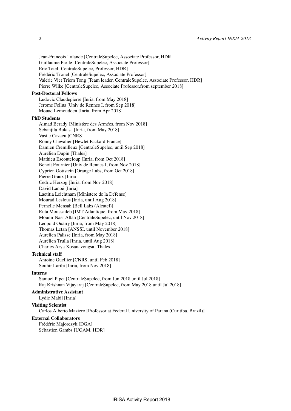Jean-Francois Lalande [CentraleSupelec, Associate Professor, HDR] Guillaume Piolle [CentraleSupelec, Associate Professor] Eric Totel [CentraleSupelec, Professor, HDR] Frédéric Tronel [CentraleSupelec, Associate Professor] Valérie Viet Triem Tong [Team leader, CentraleSupelec, Associate Professor, HDR] Pierre Wilke [CentraleSupelec, Associate Professor,from september 2018]

### Post-Doctoral Fellows

Ludovic Claudepierre [Inria, from May 2018] Jerome Fellus [Univ de Rennes I, from Sep 2018] Mouad Lemoudden [Inria, from Apr 2018]

#### PhD Students

Aimad Berady [Ministère des Armées, from Nov 2018] Sebanjila Bukasa [Inria, from May 2018] Vasile Cazacu [CNRS] Ronny Chevalier [Hewlet Packard France] Damien Crémilleux [CentraleSupelec, until Sep 2018] Aurélien Dupin [Thales] Mathieu Escouteloup [Inria, from Oct 2018] Benoit Fournier [Univ de Rennes I, from Nov 2018] Cyprien Gottstein [Orange Labs, from Oct 2018] Pierre Graux [Inria] Cedric Herzog [Inria, from Nov 2018] David Lanoé [Inria] Laetitia Leichtnam [Ministère de la Défense] Mourad Leslous [Inria, until Aug 2018] Pernelle Mensah [Bell Labs (Alcatel)] Ruta Moussaileb [IMT Atlantique, from May 2018] Mounir Nasr Allah [CentraleSupelec, until Nov 2018] Leopold Ouairy [Inria, from May 2018] Thomas Letan [ANSSI, until November 2018] Aurelien Palisse [Inria, from May 2018] Aurélien Trulla [Inria, until Aug 2018] Charles Arya Xosanavongsa [Thales]

#### Technical staff

Antoine Guellier [CNRS, until Feb 2018] Souhir Laribi [Inria, from Nov 2018]

#### Interns

Samuel Pipet [CentraleSupelec, from Jun 2018 until Jul 2018] Raj Krishnan Vijayaraj [CentraleSupelec, from May 2018 until Jul 2018]

## Administrative Assistant

Lydie Mabil [Inria]

#### Visiting Scientist

Carlos Alberto Maziero [Professor at Federal University of Parana (Curitiba, Brazil)]

#### External Collaborators

Frédéric Majorczyk [DGA] Sébastien Gambs [UQAM, HDR]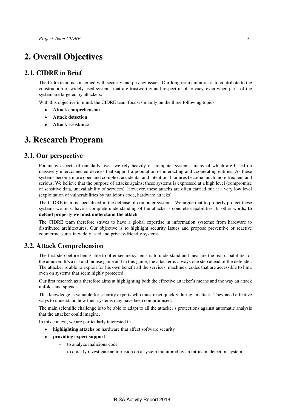## 2. Overall Objectives

## 2.1. CIDRE in Brief

The Cidre team is concerned with security and privacy issues. Our long-term ambition is to contribute to the construction of widely used systems that are trustworthy and respectful of privacy, even when parts of the system are targeted by attackers.

With this objective in mind, the CIDRE team focuses mainly on the three following topics:

- Attack comprehension
- Attack detection
- Attack resistance

## 3. Research Program

## 3.1. Our perspective

For many aspects of our daily lives, we rely heavily on computer systems, many of which are based on massively interconnected devices that support a population of interacting and cooperating entities. As these systems become more open and complex, accidental and intentional failures become much more frequent and serious. We believe that the purpose of attacks against these systems is expressed at a high level (compromise of sensitive data, unavailability of services). However, these attacks are often carried out at a very low level (exploitation of vulnerabilities by malicious code, hardware attacks).

The CIDRE team is specialized in the defense of computer systems. We argue that to properly protect these systems we must have a complete understanding of the attacker's concrete capabilities. In other words, to defend properly we must understand the attack.

The CIDRE team therefore strives to have a global expertise in information systems: from hardware to distributed architectures. Our objective is to highlight security issues and propose preventive or reactive countermeasures in widely used and privacy-friendly systems.

## 3.2. Attack Comprehension

The first step before being able to offer secure systems is to understand and measure the real capabilities of the attacker. It's a cat and mouse game and in this game, the attacker is always one step ahead of the defender. The attacker is able to exploit for his own benefit all the services, machines, codes that are accessible to him, even on systems that seem highly protected.

Our first research axis therefore aims at highlighting both the effective attacker's means and the way an attack unfolds and spreads.

This knowledge is valuable for security experts who must react quickly during an attack. They need effective ways to understand how their systems may have been compromised.

The main scientific challenge is to be able to adapt to all the attacker's protections against automatic analysis that the attacker could imagine.

In this context, we are particularly interested in

- highlighting attacks on hardware that affect software security
- providing expert support
	- to analyze malicious code
	- to quickly investigate an intrusion on a system monitored by an intrusion detection system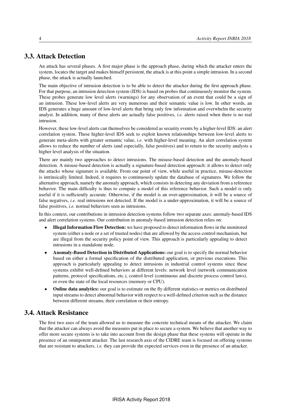## 3.3. Attack Detection

An attack has several phases. A first major phase is the approach phase, during which the attacker enters the system, locates the target and makes himself persistent, the attack is at this point a simple intrusion. In a second phase, the attack is actually launched.

The main objective of intrusion detection is to be able to detect the attacker during the first approach phase. For that purpose, an intrusion detection system (IDS) is based on probes that continuously monitor the system. These probes generate low level alerts (warnings) for any observation of an event that could be a sign of an intrusion. These low-level alerts are very numerous and their semantic value is low. In other words, an IDS generates a huge amount of low-level alerts that bring only few information and overwhelm the security analyst. In addition, many of these alerts are actually false positives, *i.e.* alerts raised when there is no real intrusion.

However, these low-level alerts can themselves be considered as security events by a higher-level IDS: an alert correlation system. These higher-level IDS seek to exploit known relationships between low-level alerts to generate meta-alerts with greater semantic value, *i.e.* with higher-level meaning. An alert correlation system allows to reduce the number of alerts (and especially, false positives) and to return to the security analysts a higher level analysis of the situation.

There are mainly two approaches to detect intrusions. The misuse-based detection and the anomaly-based detection. A misuse-based detection is actually a signature-based detection approach: it allows to detect only the attacks whose signature is available. From our point of view, while useful in practice, misuse-detection is intrinsically limited. Indeed, it requires to continuously update the database of signatures. We follow the alternative approach, namely the anomaly approach, which consists in detecting any deviation from a reference behavior. The main difficulty is thus to compute a model of this reference behavior. Such a model is only useful if it is sufficiently accurate. Otherwise, if the model is an over-approximation, it will be a source of false negatives, *i.e.* real intrusions not detected. If the model is a under-approximation, it will be a source of false positives, *i.e.* normal behaviors seen as intrusions.

In this context, our contributions in intrusion detection systems follow two separate axes: anomaly-based IDS and alert correlation systems. Our contribution in anomaly-based intrusion detection relies on:

- Illegal Information Flow Detection: we have proposed to detect information flows in the monitored system (either a node or a set of trusted nodes) that are allowed by the access control mechanism, but are illegal from the security policy point of view. This approach is particularly appealing to detect intrusions in a standalone node.
- Anomaly-Based Detection in Distributed Applications: our goal is to specify the normal behavior based on either a formal specification of the distributed application, or previous executions. This approach is particularly appealing to detect intrusions in industrial control systems since these systems exhibit well-defined behaviors at different levels: network level (network communication patterns, protocol specifications, etc.), control level (continuous and discrete process control laws), or even the state of the local resources (memory or CPU).
- **Online data analytics:** our goal is to estimate on the fly different statistics or metrics on distributed input streams to detect abnormal behavior with respect to a well-defined criterion such as the distance between different streams, their correlation or their entropy.

## 3.4. Attack Resistance

The first two axes of the team allowed us to measure the concrete technical means of the attacker. We claim that the attacker can always avoid the measures put in place to secure a system. We believe that another way to offer more secure systems is to take into account from the design phase that these systems will operate in the presence of an omnipotent attacker. The last research axis of the CIDRE team is focused on offering systems that are resistant to attackers, *i.e.* they can provide the expected services even in the presence of an attacker.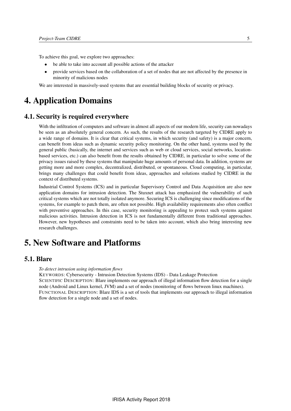To achieve this goal, we explore two approaches:

- be able to take into account all possible actions of the attacker
- provide services based on the collaboration of a set of nodes that are not affected by the presence in minority of malicious nodes

We are interested in massively-used systems that are essential building blocks of security or privacy.

## 4. Application Domains

## 4.1. Security is required everywhere

With the infiltration of computers and software in almost all aspects of our modern life, security can nowadays be seen as an absolutely general concern. As such, the results of the research targeted by CIDRE apply to a wide range of domains. It is clear that critical systems, in which security (and safety) is a major concern, can benefit from ideas such as dynamic security policy monitoring. On the other hand, systems used by the general public (basically, the internet and services such as web or cloud services, social networks, locationbased services, etc.) can also benefit from the results obtained by CIDRE, in particular to solve some of the privacy issues raised by these systems that manipulate huge amounts of personal data. In addition, systems are getting more and more complex, decentralized, distributed, or spontaneous. Cloud computing, in particular, brings many challenges that could benefit from ideas, approaches and solutions studied by CIDRE in the context of distributed systems.

Industrial Control Systems (ICS) and in particular Supervisory Control and Data Acquisition are also new application domains for intrusion detection. The Stuxnet attack has emphasized the vulnerability of such critical systems which are not totally isolated anymore. Securing ICS is challenging since modifications of the systems, for example to patch them, are often not possible. High availability requirements also often conflict with preventive approaches. In this case, security monitoring is appealing to protect such systems against malicious activities. Intrusion detection in ICS is not fundamentally different from traditional approaches. However, new hypotheses and constraints need to be taken into account, which also bring interesting new research challenges.

## 5. New Software and Platforms

## 5.1. Blare

*To detect intrusion using information flows*

KEYWORDS: Cybersecurity - Intrusion Detection Systems (IDS) - Data Leakage Protection SCIENTIFIC DESCRIPTION: Blare implements our approach of illegal information flow detection for a single node (Android and Linux kernel, JVM) and a set of nodes (monitoring of flows between linux machines). FUNCTIONAL DESCRIPTION: Blare IDS is a set of tools that implements our approach to illegal information flow detection for a single node and a set of nodes.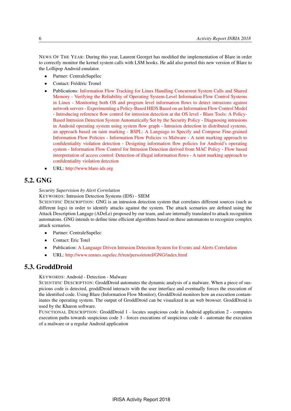NEWS OF THE YEAR: During this year, Laurent Georget has modified the implementation of Blare in order to correctly monitor the kernel system calls with LSM hooks. He add also ported this new version of Blare to the Lollipop Android emulator.

- Partner: CentraleSupélec
- Contact: Frédéric Tronel
- Publications: Information Flow Tracking for Linux Handling Concurrent System Calls and Shared Memory - Verifying the Reliability of Operating System-Level Information Flow Control Systems in Linux - Monitoring both OS and program level information flows to detect intrusions against network servers - Experimenting a Policy-Based HIDS Based on an Information Flow Control Model - Introducing reference flow control for intrusion detection at the OS level - Blare Tools: A Policy-Based Intrusion Detection System Automatically Set by the Security Policy - Diagnosing intrusions in Android operating system using system flow graph - Intrusion detection in distributed systems, an approach based on taint marking - BSPL: A Language to Specify and Compose Fine-grained Information Flow Policies - Information Flow Policies vs Malware - A taint marking approach to confidentiality violation detection - Designing information flow policies for Android's operating system - Information Flow Control for Intrusion Detection derived from MAC Policy - Flow based interpretation of access control: Detection of illegal information flows - A taint marking approach to confidentiality violation detection
- URL: http://www.blare-ids.org

## 5.2. GNG

#### *Security Supervision by Alert Correlation*

KEYWORDS: Intrusion Detection Systems (IDS) - SIEM

SCIENTIFIC DESCRIPTION: GNG is an intrusion detection system that correlates different sources (such as different logs) in order to identify attacks against the system. The attack scenarios are defined using the Attack Description Langage (ADeLe) proposed by our team, and are internally translated to attack recognition automatons. GNG intends to define time efficient algorithms based on these automatons to recognize complex attack scenarios.

- Partner: CentraleSupélec
- Contact: Eric Totel
- Publication: A Language Driven Intrusion Detection System for Events and Alerts Correlation
- URL: http://www.rennes.supelec.fr/ren/perso/etotel/GNG/index.html

## 5.3. GroddDroid

KEYWORDS: Android - Detection - Malware

SCIENTIFIC DESCRIPTION: GroddDroid automates the dynamic analysis of a malware. When a piece of suspicious code is detected, groddDroid interacts with the user interface and eventually forces the execution of the identified code. Using Blare (Information Flow Monitor), GroddDroid monitors how an execution contaminates the operating system. The output of GroddDroid can be visualized in an web browser. GroddDroid is used by the Kharon software.

FUNCTIONAL DESCRIPTION: GroddDroid 1 - locates suspicious code in Android application 2 - computes execution paths towards suspicious code 3 - forces executions of suspicious code 4 - automate the execution of a malware or a regular Android application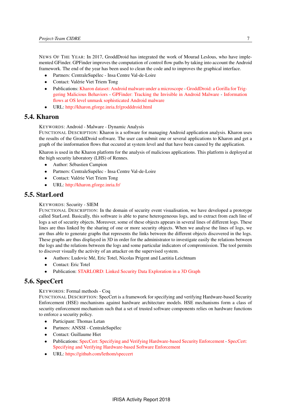NEWS OF THE YEAR: In 2017, GroddDroid has integrated the work of Mourad Leslous, who have implemented GFinder. GPFinder improves the computation of control flow paths by taking into account the Android framework. The end of the year has been used to clean the code and to improves the graphical interface.

- Partners: CentraleSupélec Insa Centre Val-de-Loire
- Contact: Valérie Viet Triem Tong
- Publications: Kharon dataset: Android malware under a microscope GroddDroid: a Gorilla for Triggering Malicious Behaviors - GPFinder: Tracking the Invisible in Android Malware - Information flows at OS level unmask sophisticated Android malware
- URL: http://kharon.gforge.inria.fr/grodddroid.html

## 5.4. Kharon

KEYWORDS: Android - Malware - Dynamic Analysis

FUNCTIONAL DESCRIPTION: Kharon is a software for managing Android application analysis. Kharon uses the results of the GroddDroid software. The user can submit one or several applications to Kharon and get a graph of the innformation flows that occured at system level and that have been caused by the application.

Kharon is used in the Kharon platform for the analysis of malicious applications. This platform is deployed at the high security laboratory (LHS) of Rennes.

- Author: Sébastien Campion
- Partners: CentraleSupélec Insa Centre Val-de-Loire
- Contact: Valérie Viet Triem Tong
- URL: http://kharon.gforge.inria.fr/

## 5.5. StarLord

KEYWORDS: Security - SIEM

FUNCTIONAL DESCRIPTION: In the domain of security event visualisation, we have developed a prototype called StarLord. Basically, this software is able to parse heterogeneous logs, and to extract from each line of logs a set of security objects. Moreover, some of these objects appears in several lines of different logs. These lines are thus linked by the sharing of one or more security objects. When we analyse the lines of logs, we are thus able to generate graphs that represents the links between the different objects discovered in the logs. These graphs are thus displayed in 3D in order for the administrator to investigate easily the relations between the logs and the relations between the logs and some particular indicators of compromission. The tool permits to discover visually the activity of an attacker on the supervised system.

- Authors: Ludovic Mé, Eric Totel, Nicolas Prigent and Laetitia Leichtnam
- Contact: Eric Totel
- Publication: STARLORD: Linked Security Data Exploration in a 3D Graph

## 5.6. SpecCert

KEYWORDS: Formal methods - Coq

FUNCTIONAL DESCRIPTION: SpecCert is a framework for specifying and verifying Hardware-based Security Enforcement (HSE) mechanisms against hardware architecture models. HSE mechanisms form a class of security enforcement mechanism such that a set of trusted software components relies on hardware functions to enforce a security policy.

- Participant: Thomas Letan
- Partners: ANSSI CentraleSupélec
- Contact: Guillaume Hiet
- Publications: SpecCert: Specifying and Verifying Hardware-based Security Enforcement SpecCert: Specifying and Verifying Hardware-based Software Enforcement
- URL: https://github.com/lethom/speccert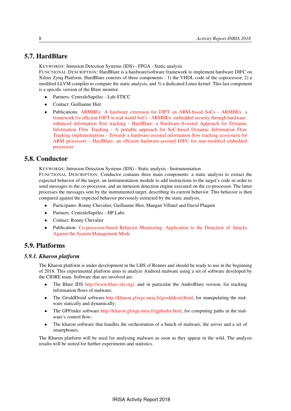## 5.7. HardBlare

KEYWORDS: Intrusion Detection Systems (IDS) - FPGA - Static analysis

FUNCTIONAL DESCRIPTION: HardBlare is a hardware/software framework to implement hardware DIFC on Xilinx Zynq Platform. HardBlare consists of three components : 1) the VHDL code of the coprocessor, 2) a modified LLVM compiler to compute the static analysis, and 3) a dedicated Linux kernel. This last component is a specific version of the Blare monitor.

- Partners: CentraleSupélec Lab-STICC
- Contact: Guillaume Hiet
- Publications: ARMHEx: A hardware extension for DIFT on ARM-based SoCs ARMHEx: a framework for efficient DIFT in real-world SoCs - ARMHEx: embedded security through hardwareenhanced information flow tracking - HardBlare: a Hardware-Assisted Approach for Dynamic Information Flow Tracking - A portable approach for SoC-based Dynamic Information Flow Tracking implementations - Towards a hardware-assisted information flow tracking ecosystem for ARM processors - HardBlare: an efficient hardware-assisted DIFC for non-modified embedded processors

## 5.8. Conductor

KEYWORDS: Intrusion Detection Systems (IDS) - Static analysis - Instrumentation

FUNCTIONAL DESCRIPTION: Conductor contains three main components: a static analysis to extract the expected behavior of the target, an instrumentation module to add instructions to the target's code in order to send messages to the co-processor, and an intrusion detection engine executed on the co-processor. The latter processes the messages sent by the instrumented target, describing its current behavior. This behavior is then compared against the expected behavior previously extracted by the static analysis.

- Participants: Ronny Chevalier, Guillaume Hiet, Maugan Villatel and David Plaquin
- Partners: CentraleSupélec HP Labs
- Contact: Ronny Chevalier
- Publication: Co-processor-based Behavior Monitoring: Application to the Detection of Attacks Against the System Management Mode

## 5.9. Platforms

### *5.9.1. Kharon platform*

The Kharon platform is under development in the LHS of Rennes and should be ready to use in the beginning of 2018. This experimental platform aims to analyze Android malware using a set of software developed by the CIDRE team. Software that are involved are:

- The Blare IDS http://www.blare-ids.org/, and in particular the AndroBlare version, for tracking information flows of malware;
- The GroddDroid software http://kharon.gforge.inria.fr/grodddroid.html, for manipulating the malware statically and dynamically;
- The GPFinder software http://kharon.gforge.inria.fr/gpfinder.html, for computing paths in the malware's control flow;
- The kharon software that handles the orchestration of a bunch of malware, the server and a set of smartphones.

The Kharon platform will be used for analysing malware as soon as they appear in the wild. The analysis results will be stored for further experiments and statistics.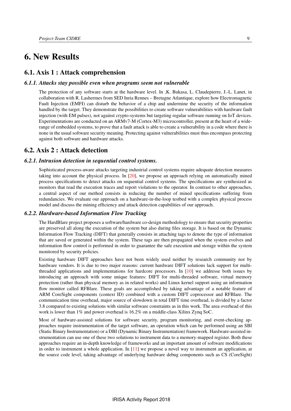## 6. New Results

## 6.1. Axis 1 : Attack comprehension

#### *6.1.1. Attacks stay possible even when programs seem not vulnerable*

The protection of any software starts at the hardware level. In ,K. Bukasa, L. Claudepierre, J.-L. Lanet, in collaboration with R. Lashermes from SED Inria Rennes – Bretagne Atlantique, explore how Electromagnetic Fault Injection (EMFI) can disturb the behavior of a chip and undermine the security of the information handled by the target. They demonstrate the possibilities to create software vulnerabilities with hardware fault injection (with EM pulses), not against crypto-systems but targeting regular software running on IoT devices. Experimentations are conducted on an ARMv7-M (Cortex-M3) microcontroller, present at the heart of a widerange of embedded systems, to prove that a fault attack is able to create a vulnerability in a code where there is none in the usual software security meaning. Protecting against vulnerabilities must thus encompass protecting against both software and hardware attacks.

## 6.2. Axis 2 : Attack detection

## *6.2.1. Intrusion detection in sequential control systems.*

Sophisticated process-aware attacks targeting industrial control systems require adequate detection measures taking into account the physical process. In [20], we propose an approach relying on automatically mined process specifications to detect attacks on sequential control systems. The specifications are synthesized as monitors that read the execution traces and report violations to the operator. In contrast to other approaches, a central aspect of our method consists in reducing the number of mined specifications suffering from redundancies. We evaluate our approach on a hardware-in-the-loop testbed with a complex physical process model and discuss the mining efficiency and attack detection capabilities of our approach.

## *6.2.2. Hardware-based Information Flow Tracking*

The HardBlare project proposes a software/hardware co-design methodology to ensure that security properties are preserved all along the execution of the system but also during files storage. It is based on the Dynamic Information Flow Tracking (DIFT) that generally consists in attaching tags to denote the type of information that are saved or generated within the system. These tags are then propagated when the system evolves and information flow control is performed in order to guarantee the safe execution and storage within the system monitored by security policies.

Existing hardware DIFT approaches have not been widely used neither by research community nor by hardware vendors. It is due to two major reasons: current hardware DIFT solutions lack support for multithreaded applications and implementations for hardcore processors. In [10] we addresse both issues by introducing an approach with some unique features: DIFT for multi-threaded software, virtual memory protection (rather than physical memory as in related works) and Linux kernel support using an information flow monitor called RFBlare. These goals are accomplished by taking advantage of a notable feature of ARM CoreSight components (context ID) combined with a custom DIFT coprocessor and RFBlare. The communication time overhead, major source of slowdown in total DIFT time overhead, is divided by a factor 3.8 compared to existing solutions with similar software constraints as in this work. The area overhead of this work is lower than 1% and power overhead is 16.2% on a middle-class Xilinx Zynq SoC.

Most of hardware-assisted solutions for software security, program monitoring, and event-checking approaches require instrumentation of the target software, an operation which can be performed using an SBI (Static Binary Instrumentation) or a DBI (Dynamic Binary Instrumentation) framework. Hardware-assisted instrumentation can use one of these two solutions to instrument data to a memory-mapped register. Both these approaches require an in-depth knowledge of frameworks and an important amount of software modifications in order to instrument a whole application. In  $[11]$  we propose a novel way to instrument an application, at the source code level, taking advantage of underlying hardware debug components such as CS (CoreSight)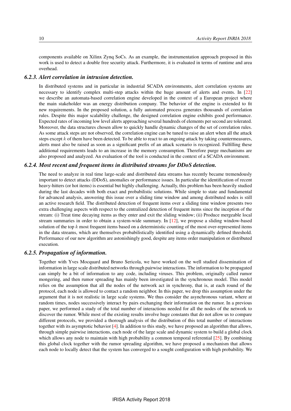components available on Xilinx Zynq SoCs. As an example, the instrumentation approach proposed in this work is used to detect a double free security attack. Furthermore, it is evaluated in terms of runtime and area overhead.

### *6.2.3. Alert correlation in intrusion detection.*

In distributed systems and in particular in industrial SCADA environments, alert correlation systems are necessary to identify complex multi-step attacks within the huge amount of alerts and events. In [22] we describe an automata-based correlation engine developed in the context of a European project where the main stakeholder was an energy distribution company. The behavior of the engine is extended to fit new requirements. In the proposed solution, a fully automated process generates thousands of correlation rules. Despite this major scalability challenge, the designed correlation engine exhibits good performance. Expected rates of incoming low level alerts approaching several hundreds of elements per second are tolerated. Moreover, the data structures chosen allow to quickly handle dynamic changes of the set of correlation rules. As some attack steps are not observed, the correlation engine can be tuned to raise an alert when all the attack steps except  $k$  of them have been detected. To be able to react to an ongoing attack by taking countermeasures, alerts must also be raised as soon as a significant prefix of an attack scenario is recognized. Fulfilling these additional requirements leads to an increase in the memory consumption. Therefore purge mechanisms are also proposed and analyzed. An evaluation of the tool is conducted in the context of a SCADA environment.

#### *6.2.4. Most recent and frequent items in distributed streams for DDoS detection.*

The need to analyze in real time large-scale and distributed data streams has recently became tremendously important to detect attacks (DDoS), anomalies or performance issues. In particular the identification of recent heavy-hitters (or hot items) is essential but highly challenging. Actually, this problem has been heavily studied during the last decades with both exact and probabilistic solutions. While simple to state and fundamental for advanced analysis, answering this issue over a sliding time window and among distributed nodes is still an active research field. The distributed detection of frequent items over a sliding time window presents two extra challenging aspects with respect to the centralized detection of frequent items since the inception of the stream: (i) Treat time decaying items as they enter and exit the sliding window; (ii) Produce mergeable local stream summaries in order to obtain a system-wide summary. In  $[12]$ , we propose a sliding window-based solution of the top  $k$  most frequent items based on a deterministic counting of the most over-represented items in the data streams, which are themselves probabilistically identified using a dynamically defined threshold. Performance of our new algorithm are astonishingly good, despite any items order manipulation or distributed execution.

#### *6.2.5. Propagation of information.*

Together with Yves Mocquard and Bruno Sericola, we have worked on the well studied dissemination of information in large scale distributed networks through pairwise interactions. The information to be propagated can simply be a bit of information to any code, including viruses. This problem, originally called rumor mongering, and then rumor spreading has mainly been investigated in the synchronous model. This model relies on the assumption that all the nodes of the network act in synchrony, that is, at each round of the protocol, each node is allowed to contact a random neighbor. In this paper, we drop this assumption under the argument that it is not realistic in large scale systems. We thus consider the asynchronous variant, where at random times, nodes successively interact by pairs exchanging their information on the rumor. In a previous paper, we performed a study of the total number of interactions needed for all the nodes of the network to discover the rumor. While most of the existing results involve huge constants that do not allow us to compare different protocols, we provided a thorough analysis of the distribution of this total number of interactions together with its asymptotic behavior [4]. In addition to this study, we have proposed an algorithm that allows, through simple pairwise interactions, each node of the large scale and dynamic system to build a global clock which allows any node to maintain with high probability a common temporal referential [25]. By combining this global clock together with the rumor spreading algorithm, we have proposed a mechanism that allows each node to locally detect that the system has converged to a sought configuration with high probability. We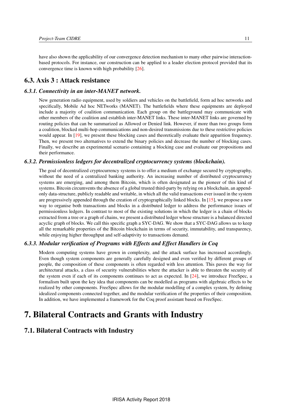have also shown the applicability of our convergence detection mechanism to many other pairwise interactionbased protocols. For instance, our construction can be applied to a leader election protocol provided that its convergence time is known with high probability [26].

## 6.3. Axis 3 : Attack resistance

## *6.3.1. Connectivity in an inter-MANET network.*

New generation radio equipment, used by soldiers and vehicles on the battlefield, form ad hoc networks and specifically, Mobile Ad hoc NETworks (MANET). The battlefields where these equipments are deployed include a majority of coalition communication. Each group on the battleground may communicate with other members of the coalition and establish inter-MANET links. These inter-MANET links are governed by routing policies that can be summarized as Allowed or Denied link. However, if more than two groups form a coalition, blocked multi-hop communications and non-desired transmissions due to these restrictive policies would appear. In [19], we present these blocking cases and theoretically evaluate their apparition frequency. Then, we present two alternatives to extend the binary policies and decrease the number of blocking cases. Finally, we describe an experimental scenario containing a blocking case and evaluate our propositions and their performance.

### *6.3.2. Permissionless ledgers for decentralized cryptocurrency systems (blockchain).*

The goal of decentralized cryptocurrency systems is to offer a medium of exchange secured by cryptography, without the need of a centralized banking authority. An increasing number of distributed cryptocurrency systems are emerging, and among them Bitcoin, which is often designated as the pioneer of this kind of systems. Bitcoin circumvents the absence of a global trusted third-party by relying on a blockchain, an appendonly data-structure, publicly readable and writable, in which all the valid transactions ever issued in the system are progressively appended through the creation of cryptographically linked blocks. In [15], we propose a new way to organise both transactions and blocks in a distributed ledger to address the performance issues of permissionless ledgers. In contrast to most of the existing solutions in which the ledger is a chain of blocks extracted from a tree or a graph of chains, we present a distributed ledger whose structure is a balanced directed acyclic graph of blocks. We call this specific graph a SYC-DAG. We show that a SYC-DAG allows us to keep all the remarkable properties of the Bitcoin blockchain in terms of security, immutability, and transparency, while enjoying higher throughput and self-adaptivity to transactions demand.

## *6.3.3. Modular verification of Programs with Effects and Effect Handlers in Coq*

Modern computing systems have grown in complexity, and the attack surface has increased accordingly. Even though system components are generally carefully designed and even verified by different groups of people, the composition of these components is often regarded with less attention. This paves the way for architectural attacks, a class of security vulnerabilities where the attacker is able to threaten the security of the system even if each of its components continues to act as expected. In [24], we introduce FreeSpec, a formalism built upon the key idea that components can be modelled as programs with algebraic effects to be realized by other components. FreeSpec allows for the modular modelling of a complex system, by defining idealized components connected together, and the modular verification of the properties of their composition. In addition, we have implemented a framework for the Coq proof assistant based on FreeSpec.

## 7. Bilateral Contracts and Grants with Industry

## 7.1. Bilateral Contracts with Industry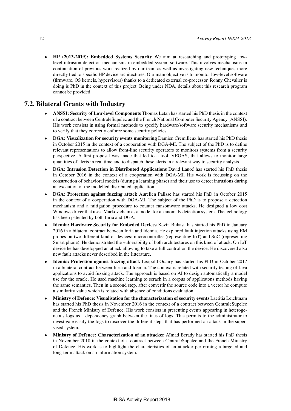• HP (2013-2019): Embedded Systems Security We aim at researching and prototyping lowlevel intrusion detection mechanisms in embedded system software. This involves mechanisms in continuation of previous work realized by our team as well as investigating new techniques more directly tied to specific HP device architectures. Our main objective is to monitor low-level software (firmware, OS kernels, hypervisors) thanks to a dedicated external co-processor. Ronny Chevalier is doing is PhD in the context of this project. Being under NDA, details about this research program cannot be provided.

## 7.2. Bilateral Grants with Industry

- ANSSI: Security of Low-level Components Thomas Letan has started his PhD thesis in the context of a contract between CentraleSupelec and the French National Computer Security Agency (ANSSI). His work consists in using formal methods to specify hardware/software security mechanisms and to verify that they correctly enforce some security policies.
- DGA: Visualization for security events monitoring Damien Crémilleux has started his PhD thesis in October 2015 in the context of a cooperation with DGA-MI. The subject of the PhD is to define relevant representations to allow front-line security operators to monitors systems from a security perspective. A first proposal was made that led to a tool, VEGAS, that allows to monitor large quantities of alerts in real time and to dispatch these alerts in a relevant way to security analysts.
- DGA: Intrusion Detection in Distributed Applications David Lanoé has started his PhD thesis in October 2016 in the context of a cooperation with DGA-MI. His work is focussing on the construction of behavioral models (during a learning phase) and their use to detect intrusions during an execution of the modelled distributed application.
- DGA: Protection against fuzzing attack Aurelien Palisse has started his PhD in October 2015 in the context of a cooperation with DGA-MI. The subject of the PhD is to propose a detection mechanism and a mitigation procedure to counter ransomware attacks. He designed a low cost Windows driver that use a Markov chain as a model for an anomaly detection system. The technology has been patented by both Inria and DGA.
- Idemia: Hardware Security for Embeded Devices Kevin Bukasa has started his PhD in January 2016 in a bilateral contract between Inria and Idemia. He explored fault injection attacks using EM probes on two different kind of devices: microcontroller (representing IoT) and SoC (representing Smart phone). He demonstrated the vulnerability of both architectures on this kind of attack. On IoT device he has developped an attack allowing to take a full control on the device. He discovered also new fault attacks never described in the litterature.
- Idemia: Protection against fuzzing attack Leopold Ouairy has started his PhD in October 2017 in a bilateral contract between Inria and Idemia. The context is related with security testing of Java applications to avoid fuzzing attack. The approach is based on AI to design automatically a model use for the oracle. He used machine learning to serach in a corpus of applicatons methods having the same semantics. Then in a second step, after convertir the source code into a vector he compute a similarity value which is related with absence of conditions evaluation.
- Ministry of Defence: Visualisation for the characterization of security events Laetitia Leichtnam has started his PhD thesis in November 2016 in the context of a contract between CentraleSupelec and the French Ministry of Defence. His work consists in presenting events appearing in heterogeneous logs as a dependency graph between the lines of logs. This permits to the administrator to investigate easily the logs to discover the different steps that has performed an attack in the supervised system.
- Ministry of Defence: Characterization of an attacker Aïmad Berady has started his PhD thesis in November 2018 in the context of a contract between CentraleSupelec and the French Ministry of Defence. His work is to highlight the characteristics of an attacker performing a targeted and long-term attack on an information system.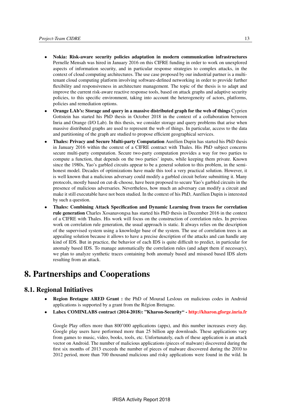- Nokia: Risk-aware security policies adaptation in modern communication infrastructures Pernelle Mensah was hired in January 2016 on this CIFRE funding in order to work on unexplored aspects of information security, and in particular response strategies to complex attacks, in the context of cloud computing architectures. The use case proposed by our industrial partner is a multitenant cloud computing platform involving software-defined networking in order to provide further flexibility and responsiveness in architecture management. The topic of the thesis is to adapt and improve the current risk-aware reactive response tools, based on attack graphs and adaptive security policies, to this specific environment, taking into account the heterogeneity of actors, platforms, policies and remediation options.
- Orange LAb's: Storage and query in a massive distributed graph for the web of things Cyprien Gottstein has started his PhD thesis in October 2018 in the context of a collaboration between Inria and Orange (I/O Lab). In this thesis, we consider storage and query problems that arise when massive distributed graphs are used to represent the web of things. In particular, access to the data and partitioning of the graph are studied to propose efficient geographical services.
- Thales: Privacy and Secure Multi-party Computation Aurélien Dupin has started his PhD thesis in January 2016 within the context of a CIFRE contract with Thales. His PhD subject concerns secure multi-party computation. Secure two-party computation provides a way for two parties to compute a function, that depends on the two parties' inputs, while keeping them private. Known since the 1980s, Yao's garbled circuits appear to be a general solution to this problem, in the semihonest model. Decades of optimizations have made this tool a very practical solution. However, it is well known that a malicious adversary could modify a garbled circuit before submitting it. Many protocols, mostly based on cut-&-choose, have been proposed to secure Yao's garbled circuits in the presence of malicious adversaries. Nevertheless, how much an adversary can modify a circuit and make it still executable have not been studied. In the context of his PhD, Aurélien Dupin is interested by such a question.
- Thales: Combining Attack Specification and Dynamic Learning from traces for correlation rule generation Charles Xosanavongsa has started his PhD thesis in December 2016 in the context of a CIFRE with Thales. His work will focus on the construction of correlation rules. In previous work on correlation rule generation, the usual approach is static. It always relies on the description of the supervised system using a knowledge base of the system. The use of correlation trees is an appealing solution because it allows to have a precise description of the attacks and can handle any kind of IDS. But in practice, the behavior of each IDS is quite difficult to predict, in particular for anomaly based IDS. To manage automatically the correlation rules (and adapt them if necessary), we plan to analyze synthetic traces containing both anomaly based and misused based IDS alerts resulting from an attack.

## 8. Partnerships and Cooperations

## 8.1. Regional Initiatives

- Region Bretagne ARED Grant : the PhD of Mourad Leslous on malicious codes in Android applications is supported by a grant from the Région Bretagne.
- Labex COMINLABS contract (2014-2018): "Kharon-Security" http://kharon.gforge.inria.fr

Google Play offers more than 800'000 applications (apps), and this number increases every day. Google play users have performed more than 25 billion app downloads. These applications vary from games to music, video, books, tools, etc. Unfortunately, each of these application is an attack vector on Android. The number of malicious applications (pieces of malware) discovered during the first six months of 2013 exceeds the number of pieces of malware discovered during the 2010 to 2012 period, more than 700 thousand malicious and risky applications were found in the wild. In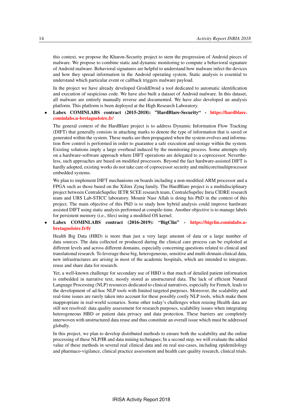this context, we propose the Kharon-Security project to stem the progression of Android pieces of malware. We propose to combine static and dynamic monitoring to compute a behavioral signature of Android malware. Behavioral signatures are helpful to understand how malware infect the devices and how they spread information in the Android operating system. Static analysis is essential to understand which particular event or callback triggers malware payload.

In the project we have already developed GroddDroid a tool dedicated to automatic identification and execution of suspicious code. We have also built a dataset of Android malware. In this dataset, all malware are entirely manually reverse and documented. We have also developed an analysis platform. This platform is been deployed at the High Research Laboratory.

#### • Labex COMINLABS contract (2015-2018): "HardBlare-Security" - https://hardblare. cominlabs.u-bretagneloire.fr/

The general context of the HardBlare project is to address Dynamic Information Flow Tracking (DIFT) that generally consists in attaching marks to denote the type of information that is saved or generated within the system. These marks are then propagated when the system evolves and information flow control is performed in order to guarantee a safe execution and storage within the system. Existing solutions imply a large overhead induced by the monitoring process. Some attempts rely on a hardware-software approach where DIFT operations are delegated to a coprocessor. Nevertheless, such approaches are based on modified processors. Beyond the fact hardware-assisted DIFT is hardly adopted, existing works do not take care of coprocessor security and multicore/multiprocessor embedded systems.

We plan to implement DIFT mechanisms on boards including a non-modified ARM processor and a FPGA such as those based on the Xilinx Zynq family. The HardBlare project is a multidisciplinary project between CentraleSupélec IETR SCEE research team, CentraleSupélec Inria CIDRE research team and UBS Lab-STICC laboratory. Mounir Nasr Allah is doing his PhD in the context of this project. The main objective of this PhD is to study how hybrid analysis could improve hardware assisted DIFT using static analysis performed at compile-time. Another objective is to manage labels for persistent memory (i.e., files) using a modified OS kernel.

### • Labex COMINLABS contract (2016-2019): "BigClin" - https://bigclin.cominlabs.ubretagneloire.fr/fr

Health Big Data (HBD) is more than just a very large amount of data or a large number of data sources. The data collected or produced during the clinical care process can be exploited at different levels and across different domains, especially concerning questions related to clinical and translational research. To leverage these big, heterogeneous, sensitive and multi-domain clinical data, new infrastructures are arising in most of the academic hospitals, which are intended to integrate, reuse and share data for research.

Yet, a well-known challenge for secondary use of HBD is that much of detailed patient information is embedded in narrative text, mostly stored as unstructured data. The lack of efficient Natural Language Processing (NLP) resources dedicated to clinical narratives, especially for French, leads to the development of ad-hoc NLP tools with limited targeted purposes. Moreover, the scalability and real-time issues are rarely taken into account for these possibly costly NLP tools, which make them inappropriate in real-world scenarios. Some other today's challenges when reusing Health data are still not resolved: data quality assessment for research purposes, scalability issues when integrating heterogeneous HBD or patient data privacy and data protection. These barriers are completely interwoven with unstructured data reuse and thus constitute an overall issue which must be addressed globally.

In this project, we plan to develop distributed methods to ensure both the scalability and the online processing of these NLP/IR and data mining techniques; In a second step, we will evaluate the added value of these methods in several real clinical data and on real use-cases, including epidemilology and pharmaco-vigilance, clinical practice assessment and health care quality research, clinical trials.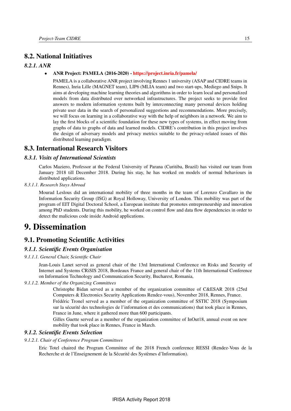## 8.2. National Initiatives

## *8.2.1. ANR*

### • ANR Project: PAMELA (2016-2020) - https://project.inria.fr/pamela/

PAMELA is a collaborative ANR project involving Rennes 1 university (ASAP and CIDRE teams in Rennes), Inria Lille (MAGNET team), LIP6 (MLIA team) and two start-ups, Mediego and Snips. It aims at developing machine learning theories and algorithms in order to learn local and personalized models from data distributed over networked infrastructures. The project seeks to provide first answers to modern information systems built by interconnecting many personal devices holding private user data in the search of personalized suggestions and recommendations. More precisely, we will focus on learning in a collaborative way with the help of neighbors in a network. We aim to lay the first blocks of a scientific foundation for these new types of systems, in effect moving from graphs of data to graphs of data and learned models. CIDRE's contribution in this project involves the design of adversary models and privacy metrics suitable to the privacy-related issues of this distributed learning paradigm.

## 8.3. International Research Visitors

## *8.3.1. Visits of International Scientists*

Carlos Maziero, Professor at the Federal University of Parana (Curitiba, Brazil) has visited our team from January 2018 till December 2018. During his stay, he has worked on models of normal behaviours in distributed applications.

#### *8.3.1.1. Research Stays Abroad*

Mourad Leslous did an international mobility of three months in the team of Lorenzo Cavallaro in the Information Security Group (ISG) at Royal Holloway, University of London. This mobility was part of the program of EIT Digital Doctoral School, a European institute that promotes entrepreneurship and innovation among PhD students. During this mobility, he worked on control flow and data flow dependencies in order to detect the malicious code inside Android applications.

## 9. Dissemination

## 9.1. Promoting Scientific Activities

## *9.1.1. Scientific Events Organisation*

### *9.1.1.1. General Chair, Scientific Chair*

Jean-Louis Lanet served as general chair of the 13rd International Conference on Risks and Security of Internet and Systems CRiSIS 2018, Bordeaux France and general chair of the 11th International Conference on Information Technology and Communication Security, Bucharest, Romania,

#### *9.1.1.2. Member of the Organizing Committees*

Christophe Bidan served as a member of the organization committee of C&ESAR 2018 (25rd Computers & Electronics Security Applications Rendez-vous), November 2018, Rennes, France. Frédéric Tronel served as a member of the organization committee of SSTIC 2018 (Symposium sur la sécurité des technologies de l'information et des communications) that took place in Rennes, France in June, where it gathered more than 600 participants.

Gilles Guette served as a member of the organization committee of InOut18, annual event on new mobility that took place in Rennes, France in March.

## *9.1.2. Scientific Events Selection*

### *9.1.2.1. Chair of Conference Program Committees*

Eric Totel chaired the Program Committee of the 2018 French conference RESSI (Rendez-Vous de la Recherche et de l'Enseignement de la Sécurité des Systèmes d'Information).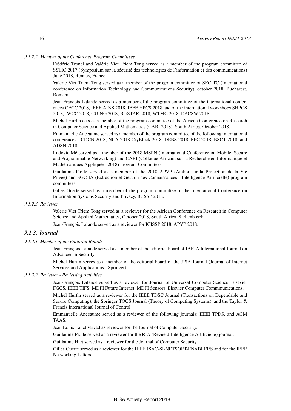*9.1.2.2. Member of the Conference Program Committees*

Frédéric Tronel and Valérie Viet Triem Tong served as a member of the program committee of SSTIC 2017 (Symposium sur la sécurité des technologies de l'information et des communications) June 2018, Rennes, France.

Valérie Viet Triem Tong served as a member of the program committee of SECITC (International conference on Information Technology and Communications Security), october 2018, Bucharest, Romania.

Jean-François Lalande served as a member of the program committee of the international conferences CECC 2018, IEEE AINS 2018, IEEE HPCS 2018 and of the international workshops SHPCS 2018, IWCC 2018, CUING 2018, BioSTAR 2018, WTMC 2018, DACSW 2018.

Michel Hurfin acts as a member of the program committee of the African Conference on Research in Computer Science and Applied Mathematics (CARI 2018), South Africa, October 2018.

Emmanuelle Anceaume served as a member of the program committee of the following international conferences: ICDCN 2018, NCA 2018 CryBlock 2018, DEBS 2018, PEC 2018, BSCT 2018, and ADSN 2018.

Ludovic Mé served as a member of the 2018 MSPN (International Conference on Mobile, Secure and Programmable Networking) and CARI (Colloque Africain sur la Recherche en Informatique et Mathématiques Appliquées 2018) program Committees.

Guillaume Piolle served as a member of the 2018 APVP (Atelier sur la Protection de la Vie Privée) and EGC-IA (Extraction et Gestion des Connaissances - Intelligence Artificielle) program committees.

Gilles Guette served as a member of the program committee of the International Conference on Information Systems Security and Privacy, ICISSP 2018.

*9.1.2.3. Reviewer*

Valérie Viet Triem Tong served as a reviewer for the African Conference on Research in Computer Science and Applied Mathematics, October 2018, South Africa, Stellenbosch.

Jean-François Lalande served as a reviewer for ICISSP 2018, APVP 2018.

## *9.1.3. Journal*

#### *9.1.3.1. Member of the Editorial Boards*

Jean-François Lalande served as a member of the editorial board of IARIA International Journal on Advances in Security.

Michel Hurfin serves as a member of the editorial board of the JISA Journal (Journal of Internet Services and Applications - Springer).

#### *9.1.3.2. Reviewer - Reviewing Activities*

Jean-François Lalande served as a reviewer for Journal of Universal Computer Science, Elsevier FGCS, IEEE TIFS, MDPI Future Internet, MDPI Sensors, Elsevier Computer Commmunications.

Michel Hurfin served as a reviewer for the IEEE TDSC Journal (Transactions on Dependable and Secure Computing), the Springer TOCS Journal (Theory of Computing Systems), and the Taylor & Francis International Journal of Control.

Emmanuelle Anceaume served as a reviewer of the following journals: IEEE TPDS, and ACM TAAS.

Jean Louis Lanet served as reviewer for the Journal of Computer Security.

Guillaume Piolle served as a reviewer for the RIA (Revue d'Intelligence Artificielle) journal.

Guillaume Hiet served as a reviewer for the Journal of Computer Security.

Gilles Guette served as a reviewer for the IEEE JSAC-SI-NETSOFT-ENABLERS and for the IEEE Networking Letters.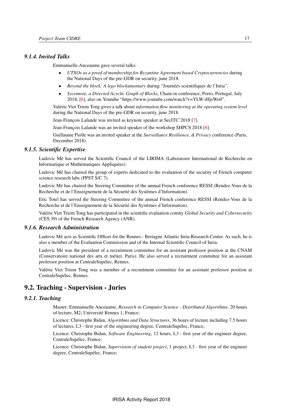### *9.1.4. Invited Talks*

Emmanuelle Anceaume gave several talks:

- *UTXOs as a proof of membership for Byzantine Agreement based Cryptocurrencies* during the National Days of the pre-GDR on security, june 2018.
- *Beyond the block: A lego blockumentary* during "Journées scientifiques de l'Inria".
- *Sycomore, a Directed Acyclic Graph of Blocks*, Chain-in conference, Porto, Portugal, July 2018, [6], also on Youtube "https://www.youtube.com/watch?v=YLW-iHjsWo0".

Valérie Viet Triem Tong gives a talk about *information flow monitoring at the operating system level* during the National Days of the pre-GDR on security, june 2018.

Jean-François Lalande was invited as keynote speaker at SecITC'2018 [7].

Jean-François Lalande was an invited speaker of the workshop SHPCS 2018 [8].

Guillaume Piolle was an invited speaker at the *Surveillance Resilience, & Privacy* conference (Paris, December 2018).

#### *9.1.5. Scientific Expertise*

Ludovic Mé has served the Scientific Council of the LIRIMA (Laboratoire International de Recherche en Informatique et Mathématiques Appliquées).

Ludovic Mé has chaired the group of experts dedicated to the evaluation of the security of French computer science research labs (PPST S/C 7).

Ludovic Mé has chaired the Steering Committee of the annual French conference RESSI (Rendez-Vous de la Recherche et de l'Enseignement de la Sécurité des Systèmes d'Information).

Eric Totel has served the Steering Committee of the annual French conference RESSI (Rendez-Vous de la Recherche et de l'Enseignement de la Sécurité des Systèmes d'Information).

Valérie Viet Triem Tong has participated in the scientific evaluation comity *Global Security and Cybersecurity* (CES 39) of the French Research Agency (ANR).

#### *9.1.6. Research Administration*

Ludovic Mé acts as Scientific Officer for the Rennes - Bretagne Atlantic Inria Research Center. As such, he is also a member of the Evaluation Commission and of the Internal Scientific Council of Inria.

Ludovic Mé was the president of a recruitment committee for an assistant professor position at the CNAM (Conservatoire national des arts et métier, Paris). He also served a recruitment committee for an assistant professor position at CentraleSupélec, Rennes.

Valérie Viet Triem Tong was a member of a recruitment committee for an assistant professor position at CentraleSupélec, Rennes.

## 9.2. Teaching - Supervision - Juries

## *9.2.1. Teaching*

Master: Emmanuelle Anceaume, *Research in Computer Science - Distributed Algorithms*, 20 hours of lecture, M2; Université Rennes 1, France;

Licence: Christophe Bidan, *Algorithms and Data Structures*, 36 hours of lecture including 7.5 hours of lectures, L3 - first year of the engineering degree, CentraleSupélec, France;

Licence: Christophe Bidan, *Software Engineering*, 12 hours, L3 - first year of the engineer degree, CentraleSupélec, France;

Licence: Christophe Bidan, *Supervision of student project*, 1 project, L3 - first year of the engineer degree, CentraleSupélec, France;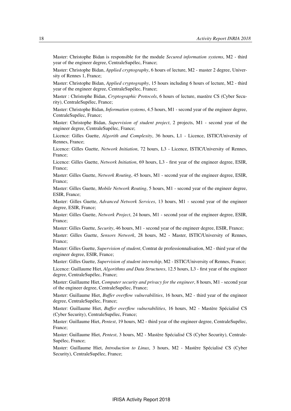Master: Christophe Bidan is responsible for the module *Secured information systems*, M2 - third year of the engineer degree, CentraleSupélec, France;

Master: Christophe Bidan, *Applied cryptography*, 6 hours of lecture, M2 - master 2 degree, University of Rennes 1, France;

Master: Christophe Bidan, *Applied cryptography*, 15 hours including 6 hours of lecture, M2 - third year of the engineer degree, CentraleSupélec, France;

Master : Christophe Bidan, *Cryptographic Protocols*, 6 hours of lecture, mastère CS (Cyber Security), CentraleSupélec, France;

Master: Christophe Bidan, *Information systems*, 4.5 hours, M1 - second year of the engineer degree, CentraleSupélec, France;

Master: Christophe Bidan, *Supervision of student project*, 2 projects, M1 - second year of the engineer degree, CentraleSupélec, France;

Licence: Gilles Guette, *Algorith and Complexity*, 36 hours, L1 - Licence, ISTIC/University of Rennes, France;

Licence: Gilles Guette, *Network Initiation*, 72 hours, L3 - Licence, ISTIC/University of Rennes, France;

Licence: Gilles Guette, *Network Initiation*, 69 hours, L3 - first year of the engineer degree, ESIR, France;

Master: Gilles Guette, *Network Routing*, 45 hours, M1 - second year of the engineer degree, ESIR, France;

Master: Gilles Guette, *Mobile Network Routing*, 5 hours, M1 - second year of the engineer degree, ESIR, France;

Master: Gilles Guette, *Advanced Network Services*, 13 hours, M1 - second year of the engineer degree, ESIR, France;

Master: Gilles Guette, *Network Project*, 24 hours, M1 - second year of the engineer degree, ESIR, France;

Master: Gilles Guette, *Security*, 46 hours, M1 - second year of the engineer degree, ESIR, France;

Master: Gilles Guette, *Sensors Network*, 28 hours, M2 - Master, ISTIC/University of Rennes, France;

Master: Gilles Guette, *Supervision of student*, Contrat de professionnalisation, M2 - third year of the engineer degree, ESIR, France;

Master: Gilles Guette, *Supervision of student internship*, M2 - ISTIC/University of Rennes, France;

Licence: Guillaume Hiet, *Algorithms and Data Structures*, 12.5 hours, L3 - first year of the engineer degree, CentraleSupélec, France;

Master: Guillaume Hiet, *Computer security and privacy for the engineer*, 8 hours, M1 - second year of the engineer degree, CentraleSupélec, France;

Master: Guillaume Hiet, *Buffer overflow vulnerabilities*, 16 hours, M2 - third year of the engineer degree, CentraleSupélec, France;

Master: Guillaume Hiet, *Buffer overflow vulnerabilities*, 16 hours, M2 - Mastère Spécialisé CS (Cyber Security), CentraleSupélec, France;

Master: Guillaume Hiet, *Pentest*, 19 hours, M2 - third year of the engineer degree, CentraleSupélec, France;

Master: Guillaume Hiet, *Pentest*, 3 hours, M2 - Mastère Spécialisé CS (Cyber Security), Centrale-Supélec, France;

Master: Guillaume Hiet, *Introduction to Linux*, 3 hours, M2 - Mastère Spécialisé CS (Cyber Security), CentraleSupélec, France;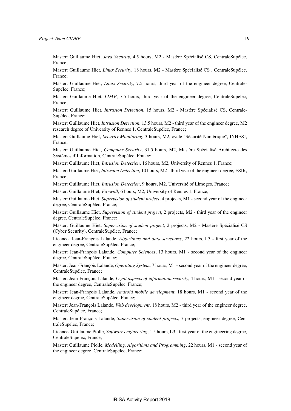Master: Guillaume Hiet, *Java Security*, 4.5 hours, M2 - Mastère Spécialisé CS, CentraleSupélec, France;

Master: Guillaume Hiet, *Linux Security*, 18 hours, M2 - Mastère Spécialisé CS , CentraleSupélec, France;

Master: Guillaume Hiet, *Linux Security*, 7.5 hours, third year of the engineer degree, Centrale-Supélec, France;

Master: Guillaume Hiet, *LDAP*, 7.5 hours, third year of the engineer degree, CentraleSupélec, France;

Master: Guillaume Hiet, *Intrusion Detection*, 15 hours, M2 - Mastère Spécialisé CS, Centrale-Supélec, France;

Master: Guillaume Hiet, *Intrusion Detection*, 13.5 hours, M2 - third year of the engineer degree, M2 research degree of University of Rennes 1, CentraleSupélec, France;

Master: Guillaume Hiet, *Security Monitoring*, 3 hours, M2, cycle "Sécurité Numérique", INHESJ, France;

Master: Guillaume Hiet, *Computer Security*, 31.5 hours, M2, Mastère Spécialisé Architecte des Systèmes d'Information, CentraleSupélec, France;

Master: Guillaume Hiet, *Intrusion Detection*, 16 hours, M2, University of Rennes 1, France;

Master: Guillaume Hiet, *Intrusion Detection*, 10 hours, M2 - third year of the engineer degree, ESIR, France;

Master: Guillaume Hiet, *Intrusion Detection*, 9 hours, M2, Université of Limoges, France;

Master: Guillaume Hiet, *Firewall*, 6 hours, M2, University of Rennes 1, France;

Master: Guillaume Hiet, *Supervision of student project*, 4 projects, M1 - second year of the engineer degree, CentraleSupélec, France;

Master: Guillaume Hiet, *Supervision of student project*, 2 projects, M2 - third year of the engineer degree, CentraleSupélec, France;

Master: Guillaume Hiet, *Supervision of student project*, 2 projects, M2 - Mastère Spécialisé CS (Cyber Security), CentraleSupélec, France;

Licence: Jean-François Lalande, *Algorithms and data structures*, 22 hours, L3 - first year of the engineer degree, CentraleSupélec, France;

Master: Jean-François Lalande, *Computer Sciences*, 13 hours, M1 - second year of the engineer degree, CentraleSupélec, France;

Master: Jean-François Lalande, *Operating System*, 7 hours, M1 - second year of the engineer degree, CentraleSupélec, France;

Master: Jean-François Lalande, *Legal aspects of information security*, 4 hours, M1 - second year of the engineer degree, CentraleSupélec, France;

Master: Jean-François Lalande, *Android mobile development*, 18 hours, M1 - second year of the engineer degree, CentraleSupélec, France;

Master: Jean-François Lalande, *Web development*, 18 hours, M2 - third year of the engineer degree, CentraleSupélec, France;

Master: Jean-François Lalande, *Supervision of student projects*, 7 projects, engineer degree, CentraleSupélec, France;

Licence: Guillaume Piolle, *Software engineering*, 1.5 hours, L3 - first year of the engineering degree, CentraleSupélec, France;

Master: Guillaume Piolle, *Modelling, Algorithms and Programming*, 22 hours, M1 - second year of the engineer degree, CentraleSupélec, France;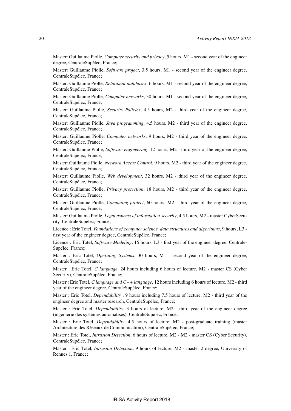Master: Guillaume Piolle, *Computer security and privacy*, 5 hours, M1 - second year of the engineer degree, CentraleSupélec, France;

Master: Guillaume Piolle, *Software project*, 3.5 hours, M1 - second year of the engineer degree, CentraleSupélec, France;

Master: Guillaume Piolle, *Relational databases*, 6 hours, M1 - second year of the engineer degree, CentraleSupélec, France;

Master: Guillaume Piolle, *Computer networks*, 30 hours, M1 - second year of the engineer degree, CentraleSupélec, France;

Master: Guillaume Piolle, *Security Policies*, 4.5 hours, M2 - third year of the engineer degree, CentraleSupélec, France;

Master: Guillaume Piolle, *Java programming*, 4.5 hours, M2 - third year of the engineer degree, CentraleSupélec, France;

Master: Guillaume Piolle, *Computer networks*, 9 hours, M2 - third year of the engineer degree, CentraleSupélec, France;

Master: Guillaume Piolle, *Software engineering*, 12 hours, M2 - third year of the engineer degree, CentraleSupélec, France;

Master: Guillaume Piolle, *Network Access Control*, 9 hours, M2 - third year of the engineer degree, CentraleSupélec, France;

Master: Guillaume Piolle, *Web development*, 32 hours, M2 - third year of the engineer degree, CentraleSupélec, France;

Master: Guillaume Piolle, *Privacy protection*, 18 hours, M2 - third year of the engineer degree, CentraleSupélec, France;

Master: Guillaume Piolle, *Computing project*, 60 hours, M2 - third year of the engineer degree, CentraleSupélec, France;

Master: Guillaume Piolle, *Legal aspects of information security*, 4.5 hours, M2 - master CyberSecurity, CentraleSupélec, France;

Licence : Eric Totel, *Foundations of computer science, data structures and algorithms*, 9 hours, L3 first year of the engineer degree, CentraleSupélec, France;

Licence : Eric Totel, *Software Modeling*, 15 hours, L3 - first year of the engineer degree, Centrale-Supélec, France;

Master : Eric Totel, *Operating Systems*, 30 hours, M1 - second year of the engineer degree, CentraleSupélec, France;

Master : Eric Totel, *C language*, 24 hours including 6 hours of lecture, M2 - master CS (Cyber Security), CentraleSupélec, France;

Master : Eric Totel, *C language and C++ language*, 12 hours including 6 hours of lecture, M2 - third year of the engineer degree, CentraleSupélec, France;

Master : Eric Totel, *Dependability* , 9 hours including 7.5 hours of lecture, M2 - third year of the engineer degree and master research, CentraleSupélec, France;

Master : Eric Totel, *Dependability*, 3 hours of lecture, M2 - third year of the engineer degree (ingénierie des systèmes automatisés), CentraleSupelec, France;

Master : Eric Totel, *Dependability*, 4.5 hours of lecture, M2 - post-graduate training (master Architecture des Réseaux de Communication), CentraleSupélec, France;

Master : Eric Totel, *Intrusion Detection*, 6 hours of lecture, M2 - M2 - master CS (Cyber Security), CentraleSupélec, France;

Master : Eric Totel, *Intrusion Detection*, 9 hours of lecture, M2 - master 2 degree, University of Rennes 1, France;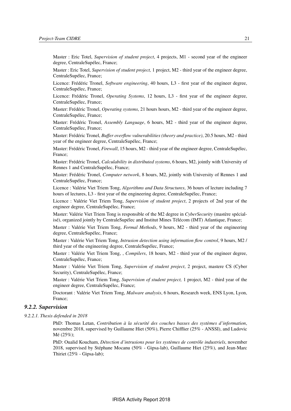Master : Eric Totel, *Supervision of student project*, 4 projects, M1 - second year of the engineer degree, CentraleSupélec, France;

Master : Eric Totel, *Supervision of student project,* 1 project, M2 - third year of the engineer degree, CentraleSupélec, France;

Licence: Frédéric Tronel, *Software engineering*, 40 hours, L3 - first year of the engineer degree, CentraleSupélec, France;

Licence: Frédéric Tronel, *Operating Systems*, 12 hours, L3 - first year of the engineer degree, CentraleSupélec, France;

Master: Frédéric Tronel, *Operating systems*, 21 hours hours, M2 - third year of the engineer degree, CentraleSupélec, France;

Master: Frédéric Tronel, *Assembly Language*, 6 hours, M2 - third year of the engineer degree, CentraleSupélec, France;

Master: Frédéric Tronel, *Buffer overflow vulnerabilities (theory and practice)*, 20.5 hours, M2 - third year of the engineer degree, CentraleSupélec, France;

Master: Frédéric Tronel, *Firewall*, 15 hours, M2 - third year of the engineer degree, CentraleSupélec, France;

Master: Frédéric Tronel, *Calculability in distributed systems*, 6 hours, M2, jointly with University of Rennes 1 and CentraleSupélec, France;

Master: Frédéric Tronel, *Computer network*, 8 hours, M2, jointly with University of Rennes 1 and CentraleSupélec, France;

Licence : Valérie Viet Triem Tong, *Algorithms and Data Structures*, 36 hours of lecture including 7 hours of lectures, L3 - first year of the engineering degree, CentraleSupélec, France;

Licence : Valérie Viet Triem Tong, *Supervision of student project*, 2 projects of 2nd year of the engineer degree, CentraleSupélec, France;

Master: Valérie Viet Triem Tong is responsible of the M2 degree in *CyberSecurity* (mastère spécialisé), organized jointly by CentraleSupélec and Institut Mines Télécom (IMT) Atlantique, France;

Master : Valérie Viet Triem Tong, *Formal Methods*, 9 hours, M2 - third year of the engineering degree, CentraleSupélec, France;

Master : Valérie Viet Triem Tong, *Intrusion detection using information flow control*, 9 hours, M2 / third year of the engineering degree, CentraleSupélec, France;

Master : Valérie Viet Triem Tong, , *Compilers*, 18 hours, M2 - third year of the engineer degree, CentraleSupélec, France;

Master : Valérie Viet Triem Tong, *Supervision of student project*, 2 project, mastere CS (Cyber Security), CentraleSupélec, France;

Master : Valérie Viet Triem Tong, *Supervision of student project,* 1 project, M2 - third year of the engineer degree, CentraleSupélec, France;

Doctorant : Valérie Viet Triem Tong, *Malware analysis*, 6 hours, Research week, ENS Lyon, Lyon, France;

#### *9.2.2. Supervision*

#### *9.2.2.1. Thesis defended in 2018*

PhD: Thomas Letan, *Contribution à la sécurité des couches basses des systèmes d'information*, novembre 2018, supervised by Guillaume Hiet (50%), Pierre Chifflier (25% - ANSSI), and Ludovic Mé (25%);

PhD: Oualid Koucham, *Détection d'intrusions pour les systèmes de contrôle industriels*, november 2018, supervised by Stéphane Mocanu (50% - Gipsa-lab), Guillaume Hiet (25%), and Jean-Marc Thiriet (25% - Gipsa-lab);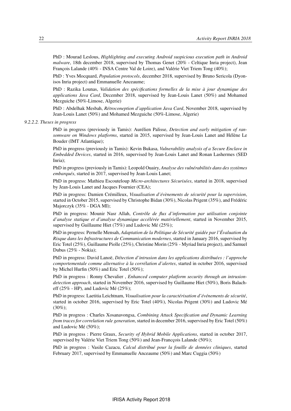PhD : Mourad Leslous, *Highlighting and executing Android suspicious execution path in Android malware*, 18th december 2018, supervised by Thomas Genet (20% - Celtique Inria project), Jean François Lalande (40% - INSA Centre Val de Loire), and Valérie Viet Triem Tong (40%);

PhD : Yves Mocquard, *Population protocols*, december 2018, supervised by Bruno Sericola (Dyonisos Inria project) and Emmanuelle Anceaume;

PhD : Razika Lounas, *Validation des spécifications formelles de la mise à jour dynamique des applications Java Card*, December 2018, supervised by Jean-Louis Lanet (50%) and Mohamed Mezguiche (50%-Limose, Algerie)

PhD : Abdelhak Mesbah, *Rétroconeption d'application Java Card*, November 2018, supervised by Jean-Louis Lanet (50%) and Mohamed Mezguiche (50%-Limose, Algerie)

*9.2.2.2. Theses in progress*

PhD in progress (previously in Tamis): Aurélien Palisse, *Detection and early mitigation of ransomware on Windows platforms*, started in 2015, supervised by Jean-Louis Lanet and Hélène Le Bouder (IMT Atlantique);

PhD in progress (previously in Tamis): Kevin Bukasa, *Vulnerability analysis of a Secure Enclave in Embedded Devices*, started in 2016, supervised by Jean-Louis Lanet and Ronan Lashermes (SED Inria);

PhD in progress (previously in Tamis): Leopold Ouairy, *Analyse des vulnérabilités dans des systèmes embarqués*, started in 2017, supervised by Jean-Louis Lanet;

PhD in progress: Mathieu Escouteloup *Micro-architectures Sécurisées*, started in 2018, supervised by Jean-Louis Lanet and Jacques Fournier (CEA);

PhD in progress: Damien Crémilleux, *Visualisation d'évènements de sécurité pour la supervision*, started in October 2015, supervised by Christophe Bidan (30%), Nicolas Prigent (35%), and Frédéric Majorczyk (35% - DGA MI);

PhD in progress: Mounir Nasr Allah, *Contrôle de flux d'information par utilisation conjointe d'analyse statique et d'analyse dynamique accélérée matériellement*, started in November 2015, supervised by Guillaume Hiet (75%) and Ludovic Mé (25%);

PhD in progress: Pernelle Mensah, *Adaptation de la Politique de Sécurité guidée par l'Évaluation du Risque dans les Infrastructures de Communication modernes*, started in January 2016, supervised by Eric Totel (25%), Guillaume Piolle (25%), Christine Morin (25% - Myriad Inria project), and Samuel Dubus (25% - Nokia);

PhD in progress: David Lanoë, *Détection d'intrusion dans les applications distribuées : l'approche comportementale comme alternative à la corrélation d'alertes*, started in october 2016, supervised by Michel Hurfin (50%) and Eric Totel (50%);

PhD in progress : Ronny Chevalier , *Enhanced computer platform security through an intrusiondetection approach*, started in November 2016, supervised by Guillaume Hiet (50%), Boris Balacheff (25% - HP), and Ludovic Mé (25%);

PhD in progress: Laetitia Leichtnam, *Visualisation pour la caractérisation d'événements de sécurité*, started in october 2016, supervised by Eric Totel (40%), Nicolas Prigent (30%) and Ludovic Mé (30%);

PhD in progress : Charles Xosanavongsa, *Combining Attack Specification and Dynamic Learning from traces for correlation rule generation*, started in december 2016, supervised by Eric Totel (50%) and Ludovic Mé (50%);

PhD in progress : Pierre Graux, *Security of Hybrid Mobile Applications*, started in october 2017, supervised by Valérie Viet Triem Tong (50%) and Jean-Francçois Lalande (50%);

PhD in progress : Vasile Cazacu, *Calcul distribué pour la fouille de données cliniques*, started February 2017, supervised by Emmanuelle Anceaume (50%) and Marc Cuggia (50%)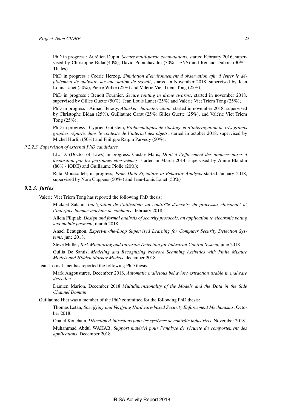PhD in progress : Aurélien Dupin, *Secure multi-partie computations*, started February 2016, supervised by Christophe Bidan(40%), David Pointchavalm (30% - ENS) and Renaud Dubois (30% - Thales).

PhD in progress : Cedric Herzog, *Simulation d'environnement d'observation afin d'éviter le déploiement de malware sur une station de travail*, started in November 2018, supervised by Jean Louis Lanet (50%), Pierre Wilke (25%) and Valérie Viet Triem Tong (25%);

PhD in progress : Benoit Fournier, *Secure routing in drone swarms*, started in november 2018, supervised by Gilles Guette (50%), Jean Louis Lanet (25%) and Valérie Viet Triem Tong (25%);

PhD in progress : Aimad Berady, *Attacker characterization*, started in november 2018, supervised by Christophe Bidan (25%), Guillaume Carat (25%),Gilles Guette (25%), and Valérie Viet Triem Tong (25%);

PhD in progress : Cyprien Gottstein, *Problématiques de stockage et d'interrogation de très grands graphes répartis dans le contexte de l'internet des objets*, started in october 2018, supervised by Michel Hurfin (50%) and Philippe Raipin Parvedy (50%);

#### *9.2.2.3. Supervision of external PhD candidates*

LL. D. (Doctor of Laws) in progress: Gustav Malis, *Droit à l'effacement des données mises à disposition par les personnes elles-mêmes*, started in March 2014, supervised by Annie Blandin (80% - IODE) and Guillaume Piolle (20%);

Ruta Moussaileb, in progress, *From Data Signature to Behavior Analysis* started January 2018, supervised by Nora Cuppens (50%-) and Jean-Louis Lanet (50%)

## *9.2.3. Juries*

Valérie Viet Triem Tong has reported the following PhD thesis:

Mickael Salaun, *Inte´gration de l'utilisateur au controˆle d'acce`s: du processus cloisonne´ a` l'interface homme-machine de confiance*, february 2018.

Alicia Filipiak, *Design and formal analysis of security protocols, an application to electronic voting and mobile payment*, march 2018.

Anaël Beaugnon, *Expert-in-the-Loop Supervised Learning for Computer Security Detection Systems*, june 2018.

Steve Muller, *Risk Monitoring and Intrusion Detection for Industrial Control System*, june 2018

Guilia De Santis, *Modeling and Recognizing Network Scanning Activities with Finite Mixture Models and Hidden Markov Models*, december 2018.

Jean-Louis Lanet has reported the following PhD thesis:

Mark Angoustures, December 2018, *Automatic malicious behaviors extraction usable in malware detection*

Damien Marion, December 2018 *Multidimensionality of the Models and the Data in the Side Channel Domain*

Guillaume Hiet was a member of the PhD committee for the following PhD thesis:

Thomas Letan, *Specifying and Verifying Hardware-based Security Enforcement Mechanisms*, October 2018.

Oualid Koucham, *Détection d'intrusions pour les systèmes de contrôle industriels*, November 2018.

Muhammad Abdul WAHAB, *Support matériel pour l'analyse de sécurité du comportement des applications*, December 2018.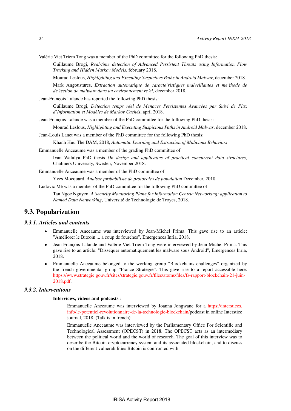Valérie Viet Triem Tong was a member of the PhD committee for the following PhD thesis:

Guillaume Brogi, *Real-time detection of Advanced Persistent Threats using Information Flow Tracking and Hidden Markov Models*, february 2018.

Mourad Leslous, *Highlighting and Executing Suspicious Paths in Android Malwar*, december 2018.

Mark Angoustures, *Extraction automatique de caracte´ristiques malveillantes et me´thode de de´tection de malware dans un environnement re´el*, december 2018.

Jean-François Lalande has reported the following PhD thesis:

Guillaume Brogi, *Détection temps réel de Menaces Persistentes Avancées par Suivi de Flux d'Information et Modèles de Markov Cachés*, april 2018.

Jean-François Lalande was a member of the PhD committee for the following PhD thesis:

Mourad Leslous, *Highlighting and Executing Suspicious Paths in Android Malwar*, december 2018.

Jean-Louis Lanet was a member of the PhD committee for the following PhD thesis:

Khanh Huu The DAM, 2018, *Automatic Learning and Extraction of Malicious Behaviors*

Emmanuelle Anceaume was a member of the grading PhD committee of

Ivan Walulya PhD thesis *On design and applicatins of practical concurrent data structures*, Chalmers University, Sweden, November 2018.

Emmanuelle Anceaume was a member of the PhD committee of

Yves Mocquard, *Analyse probabiliste de protocoles de population* December, 2018.

Ludovic Mé was a member of the PhD committee for the following PhD committee of :

Tan Ngoc Nguyen, *A Security Monitoring Plane for Information Centric Networking: application to Named Data Networking*, Université de Technologie de Troyes, 2018.

## 9.3. Popularization

### *9.3.1. Articles and contents*

- Emmanuelle Anceaume was interviewed by Jean-Michel Prima. This gave rise to an article: "Améliorer le Bitcoin ... à coup de fourches", Emergences Inria, 2018.
- Jean François Lalande and Valérie Viet Triem Tong were interviewed by Jean-Michel Prima. This gave rise to an article: "Disséquer automatiquement les malware sous Android", Emergences Inria, 2018.
- Emmanuelle Anceaume belonged to the working group "Blockchains challenges" organized by the french governmental group "France Strategie". This gave rise to a report accessible here: https://www.strategie.gouv.fr/sites/strategie.gouv.fr/files/atoms/files/fs-rapport-blockchain-21-juin-2018.pdf.

## *9.3.2. Interventions*

#### Interviews, videos and podcasts :

Emmanuelle Anceaume was interviewed by Joanna Jongwane for a https://interstices. info/le-potentiel-revolutionnaire-de-la-technologie-blockchain/podcast in online Interstice journal, 2018. (Talk is in french).

Emmanuelle Anceaume was interviewed by the Parliamentary Office For Scientific and Technological Assessment (OPECST) in 2018. The OPECST acts as an intermediary between the political world and the world of research. The goal of this interview was to describe the Bitcoin cryptocurrency system and its associated blockchain, and to discuss on the different vulnerabilities Bitcoin is confronted with.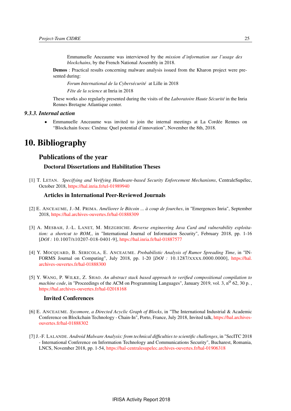Emmanuelle Anceaume was interviewed by the *mission d'information sur l'usage des blockchains*, by the French National Assembly in 2018.

Demos : Practical results concerning malware analysis issued from the Kharon project were presented during:

*Forum International de la Cybersécurité* at Lille in 2018

*Fête de la science* at Inria in 2018

These works also regularly presented during the visits of the *Laboratoire Haute Sécurité* in the Inria Rennes Bretagne Atlantique center.

## *9.3.3. Internal action*

• Emmanuelle Anceaume was invited to join the internal meetings at La Cordée Rennes on "Blockchain focus: Cinéma: Quel potential d'innovation", November the 8th, 2018.

## 10. Bibliography

## Publications of the year

## Doctoral Dissertations and Habilitation Theses

[1] T. LETAN. *Specifying and Verifying Hardware-based Security Enforcement Mechanisms*, CentraleSupélec, October 2018, https://hal.inria.fr/tel-01989940

## Articles in International Peer-Reviewed Journals

- [2] E. ANCEAUME, J.-M. PRIMA. *Améliorer le Bitcoin ... à coup de fourches*, in "Emergences Inria", September 2018, https://hal.archives-ouvertes.fr/hal-01888309
- [3] A. MESBAH, J.-L. LANET, M. MEZGHICHE. *Reverse engineering Java Card and vulnerability exploitation: a shortcut to ROM,*, in "International Journal of Information Security", February 2018, pp. 1-16 [*DOI :* 10.1007/S10207-018-0401-9], https://hal.inria.fr/hal-01887577
- [4] Y. MOCQUARD, B. SERICOLA, E. ANCEAUME. *Probabilistic Analysis of Rumor Spreading Time*, in "IN-FORMS Journal on Computing", July 2018, pp. 1-20 [*DOI :* 10.1287/XXXX.0000.0000], https://hal. archives-ouvertes.fr/hal-01888300
- [5] Y. WANG, P. WILKE, Z. SHAO. *An abstract stack based approach to verified compositional compilation to machine code*, in "Proceedings of the ACM on Programming Languages", January 2019, vol. 3, n<sup>o</sup> 62, 30 p., https://hal.archives-ouvertes.fr/hal-02018168

## Invited Conferences

- [6] E. ANCEAUME. *Sycomore, a Directed Acyclic Graph of Blocks*, in "The International Industrial & Academic Conference on Blockchain Technology - Chain-In", Porto, France, July 2018, Invited talk, https://hal.archivesouvertes.fr/hal-01888302
- [7] J.-F. LALANDE. *Android Malware Analysis: from technical difficulties to scientific challenges*, in "SecITC 2018 - International Conference on Information Technology and Communications Security", Bucharest, Romania, LNCS, November 2018, pp. 1-54, https://hal-centralesupelec.archives-ouvertes.fr/hal-01906318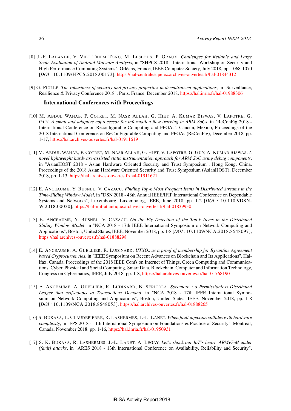- [8] J.-F. LALANDE, V. VIET TRIEM TONG, M. LESLOUS, P. GRAUX. *Challenges for Reliable and Large Scale Evaluation of Android Malware Analysis*, in "SHPCS 2018 - International Workshop on Security and High Performance Computing Systems", Orléans, France, IEEE Computer Society, July 2018, pp. 1068-1070 [*DOI :* 10.1109/HPCS.2018.00173], https://hal-centralesupelec.archives-ouvertes.fr/hal-01844312
- [9] G. PIOLLE. *The robustness of security and privacy properties in decentralized applications*, in "Surveillance, Resilience & Privacy Conference 2018", Paris, France, December 2018, https://hal.inria.fr/hal-01988306

#### International Conferences with Proceedings

- [10] M. ABDUL WAHAB, P. COTRET, M. NASR ALLAH, G. HIET, A. KUMAR BISWAS, V. LAPOTRE, G. GUY. *A small and adaptive coprocessor for information flow tracking in ARM SoCs*, in "ReConFig 2018 - International Conference on Reconfigurable Computing and FPGAs", Cancun, Mexico, Proceedings of the 2018 International Conference on ReConFigurable Computing and FPGAs (ReConFig), December 2018, pp. 1-17, https://hal.archives-ouvertes.fr/hal-01911619
- [11] M. ABDUL WAHAB, P. COTRET, M. NASR ALLAH, G. HIET, V. LAPOTRE, G. GUY, A. KUMAR BISWAS. *A novel lightweight hardware-assisted static instrumentation approach for ARM SoC using debug components*, in "AsianHOST 2018 - Asian Hardware Oriented Security and Trust Symposium", Hong Kong, China, Proceedings of the 2018 Asian Hardware Oriented Security and Trust Symposium (AsianHOST), December 2018, pp. 1-13, https://hal.archives-ouvertes.fr/hal-01911621
- [12] E. ANCEAUME, Y. BUSNEL, V. CAZACU. *Finding Top-k Most Frequent Items in Distributed Streams in the Time-Sliding Window Model*, in "DSN 2018 - 48th Annual IEEE/IFIP International Conference on Dependable Systems and Networks", Luxembourg, Luxembourg, IEEE, June 2018, pp. 1-2 [*DOI :* 10.1109/DSN-W.2018.00030], https://hal-imt-atlantique.archives-ouvertes.fr/hal-01839930
- [13] E. ANCEAUME, Y. BUSNEL, V. CAZACU. *On the Fly Detection of the Top-k Items in the Distributed Sliding Window Model*, in "NCA 2018 - 17th IEEE International Symposium on Network Computing and Applications", Boston, United States, IEEE, November 2018, pp. 1-8 [*DOI :* 10.1109/NCA.2018.8548097], https://hal.archives-ouvertes.fr/hal-01888298
- [14] E. ANCEAUME, A. GUELLIER, R. LUDINARD. *UTXOs as a proof of membership for Byzantine Agreement based Cryptocurrencies*, in "IEEE Symposium on Recent Advances on Blockchain and Its Applications", Halifax, Canada, Proceedings of the 2018 IEEE Confs on Internet of Things, Green Computing and Communications, Cyber, Physical and Social Computing, Smart Data, Blockchain, Computer and Information Technology, Congress on Cybermatics, IEEE, July 2018, pp. 1-8, https://hal.archives-ouvertes.fr/hal-01768190
- [15] E. ANCEAUME, A. GUELLIER, R. LUDINARD, B. SERICOLA. *Sycomore : a Permissionless Distributed Ledger that self-adapts to Transactions Demand*, in "NCA 2018 - 17th IEEE International Symposium on Network Computing and Applications", Boston, United States, IEEE, November 2018, pp. 1-8 [*DOI :* 10.1109/NCA.2018.8548053], https://hal.archives-ouvertes.fr/hal-01888265
- [16] S. BUKASA, L. CLAUDEPIERRE, R. LASHERMES, J.-L. LANET. *When fault injection collides with hardware complexity*, in "FPS 2018 - 11th International Symposium on Foundations & Practice of Security", Montréal, Canada, November 2018, pp. 1-16, https://hal.inria.fr/hal-01950931
- [17] S. K. BUKASA, R. LASHERMES, J.-L. LANET, A. LEGAY. *Let's shock our IoT's heart: ARMv7-M under (fault) attacks*, in "ARES 2018 - 13th International Conference on Availability, Reliability and Security",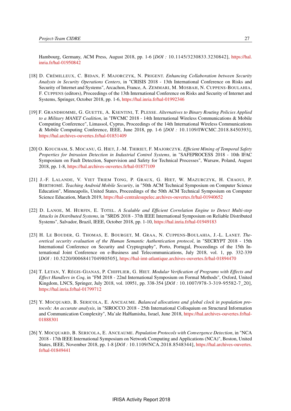Hambourg, Germany, ACM Press, August 2018, pp. 1-6 [*DOI :* 10.1145/3230833.3230842], https://hal. inria.fr/hal-01950842

- [18] D. CRÉMILLEUX, C. BIDAN, F. MAJORCZYK, N. PRIGENT. *Enhancing Collaboration between Security Analysts in Security Operations Centers*, in "CRISIS 2018 - 13th International Conference on Risks and Security of Internet and Systems", Arcachon, France, A. ZEMMARI, M. MOSBAH, N. CUPPENS-BOULAHIA, F. CUPPENS (editors), Proceedings of the 13th International Conference on Risks and Security of Internet and Systems, Springer, October 2018, pp. 1-6, https://hal.inria.fr/hal-01992346
- [19] F. GRANDHOMME, G. GUETTE, A. KSENTINI, T. PLESSE. *Alternatives to Binary Routing Policies Applied to a Military MANET Coalition*, in "IWCMC 2018 - 14th International Wireless Communications & Mobile Computing Conference", Limassol, Cyprus, Proceedings of the 14th International Wireless Communications & Mobile Computing Conference, IEEE, June 2018, pp. 1-6 [*DOI :* 10.1109/IWCMC.2018.8450393], https://hal.archives-ouvertes.fr/hal-01851409
- [20] O. KOUCHAM, S. MOCANU, G. HIET, J.-M. THIRIET, F. MAJORCZYK. *Efficient Mining of Temporal Safety Properties for Intrusion Detection in Industrial Control Systems*, in "SAFEPROCESS 2018 - 10th IFAC Symposium on Fault Detection, Supervision and Safety for Technical Processes", Warsaw, Poland, August 2018, pp. 1-8, https://hal.archives-ouvertes.fr/hal-01877109
- [21] J.-F. LALANDE, V. VIET TRIEM TONG, P. GRAUX, G. HIET, W. MAZURCZYK, H. CHAOUI, P. BERTHOMÉ. *Teaching Android Mobile Security*, in "50th ACM Technical Symposium on Computer Science Education", Minneapolis, United States, Proceedings of the 50th ACM Technical Symposium on Computer Science Education, March 2019, https://hal-centralesupelec.archives-ouvertes.fr/hal-01940652
- [22] D. LANOE, M. HURFIN, E. TOTEL. *A Scalable and Efficient Correlation Engine to Detect Multi-step Attacks in Distributed Systems*, in "SRDS 2018 - 37th IEEE International Symposium on Reliable Distributed Systems", Salvador, Brazil, IEEE, October 2018, pp. 1-10, https://hal.inria.fr/hal-01949183
- [23] H. LE BOUDER, G. THOMAS, E. BOURGET, M. GRAA, N. CUPPENS-BOULAHIA, J.-L. LANET. *Theoretical security evaluation of the Human Semantic Authentication protocol*, in "SECRYPT 2018 - 15th International Conference on Security and Cryptography", Porto, Portugal, Proceedings of the 15th International Joint Conference on e-Business and Telecommunications, July 2018, vol. 1, pp. 332-339 [*DOI :* 10.5220/0006841704980505], https://hal-imt-atlantique.archives-ouvertes.fr/hal-01894470
- [24] T. LETAN, Y. RÉGIS-GIANAS, P. CHIFFLIER, G. HIET. *Modular Verification of Programs with Effects and Effect Handlers in Coq*, in "FM 2018 - 22nd International Symposium on Formal Methods", Oxford, United Kingdom, LNCS, Springer, July 2018, vol. 10951, pp. 338-354 [*DOI :* 10.1007/978-3-319-95582-7\_20], https://hal.inria.fr/hal-01799712
- [25] Y. MOCQUARD, B. SERICOLA, E. ANCEAUME. *Balanced allocations and global clock in population protocols: An accurate analysis*, in "SIROCCO 2018 - 25th International Colloquium on Structural Information and Communication Complexity", Ma'ale HaHamisha, Israel, June 2018, https://hal.archives-ouvertes.fr/hal-01888301
- [26] Y. MOCQUARD, B. SERICOLA, E. ANCEAUME. *Population Protocols with Convergence Detection*, in "NCA 2018 - 17th IEEE International Symposium on Network Computing and Applications (NCA)", Boston, United States, IEEE, November 2018, pp. 1-8 [*DOI :* 10.1109/NCA.2018.8548344], https://hal.archives-ouvertes. fr/hal-01849441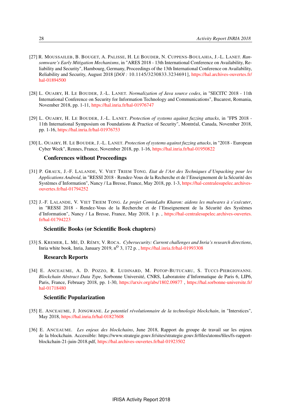- [27] R. MOUSSAILEB, B. BOUGET, A. PALISSE, H. LE BOUDER, N. CUPPENS-BOULAHIA, J.-L. LANET. *Ransomware's Early Mitigation Mechanisms*, in "ARES 2018 - 13th International Conference on Availability, Reliability and Security", Hambourg, Germany, Proceedings of the 13th International Conference on Availability, Reliability and Security, August 2018 [*DOI :* 10.1145/3230833.3234691], https://hal.archives-ouvertes.fr/ hal-01894500
- [28] L. OUAIRY, H. LE BOUDER, J.-L. LANET. *Normalization of Java source codes*, in "SECITC 2018 11th International Conference on Security for Information Technology and Communications", Bucarest, Romania, November 2018, pp. 1-11, https://hal.inria.fr/hal-01976747
- [29] L. OUAIRY, H. LE BOUDER, J.-L. LANET. *Protection of systems against fuzzing attacks*, in "FPS 2018 11th International Symposium on Foundations & Practice of Security", Montréal, Canada, November 2018, pp. 1-16, https://hal.inria.fr/hal-01976753
- [30] L. OUAIRY, H. LE BOUDER, J.-L. LANET. *Protection of systems against fuzzing attacks*, in "2018 European Cyber Week", Rennes, France, November 2018, pp. 1-16, https://hal.inria.fr/hal-01950822

#### Conferences without Proceedings

- [31] P. GRAUX, J.-F. LALANDE, V. VIET TRIEM TONG. *Etat de l'Art des Techniques d'Unpacking pour les Applications Android*, in "RESSI 2018 - Rendez-Vous de la Recherche et de l'Enseignement de la Sécurité des Systèmes d'Information", Nancy / La Bresse, France, May 2018, pp. 1-3, https://hal-centralesupelec.archivesouvertes.fr/hal-01794252
- [32] J.-F. LALANDE, V. VIET TRIEM TONG. *Le projet CominLabs Kharon: aidons les malwares à s'exécuter*, in "RESSI 2018 - Rendez-Vous de la Recherche et de l'Enseignement de la Sécurité des Systèmes d'Information", Nancy / La Bresse, France, May 2018, 1 p. , https://hal-centralesupelec.archives-ouvertes. fr/hal-01794223

### Scientific Books (or Scientific Book chapters)

[33] S. KREMER, L. MÉ, D. RÉMY, V. ROCA. *Cybersecurity: Current challenges and Inria's research directions*, Inria white book, Inria, January 2019,  $n^{\circ}$  3, 172 p., https://hal.inria.fr/hal-01993308

#### Research Reports

[34] E. ANCEAUME, A. D. POZZO, R. LUDINARD, M. POTOP-BUTUCARU, S. TUCCI-PIERGIOVANNI. *Blockchain Abstract Data Type*, Sorbonne Université, CNRS, Laboratoire d'Informatique de Paris 6, LIP6, Paris, France, February 2018, pp. 1-30, https://arxiv.org/abs/1802.09877 , https://hal.sorbonne-universite.fr/ hal-01718480

### Scientific Popularization

- [35] E. ANCEAUME, J. JONGWANE. *Le potentiel révolutionnaire de la technologie blockchain*, in "Interstices", May 2018, https://hal.inria.fr/hal-01827608
- [36] E. ANCEAUME. *Les enjeux des blockchains*, June 2018, Rapport du groupe de travail sur les enjeux de la blockchain. Accessible: https://www.strategie.gouv.fr/sites/strategie.gouv.fr/files/atoms/files/fs-rapportblockchain-21-juin-2018.pdf, https://hal.archives-ouvertes.fr/hal-01923502